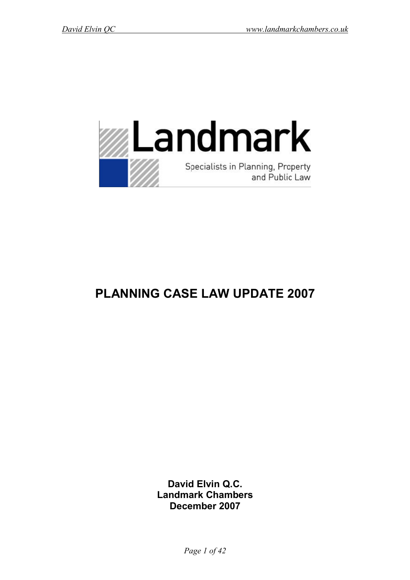

# PLANNING CASE LAW UPDATE 2007

David Elvin Q.C. Landmark Chambers December 2007

Page 1 of 42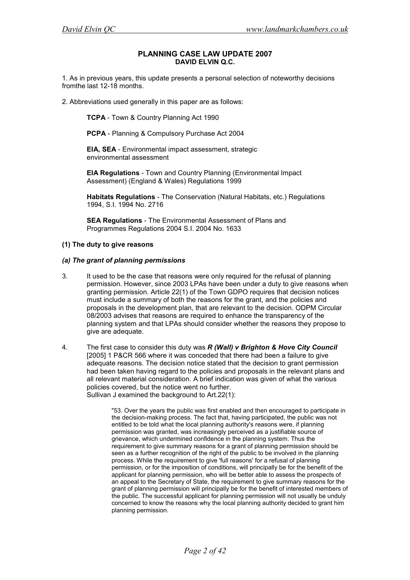## PLANNING CASE LAW UPDATE 2007 DAVID ELVIN Q.C.

1. As in previous years, this update presents a personal selection of noteworthy decisions fromthe last 12-18 months.

2. Abbreviations used generally in this paper are as follows:

TCPA - Town & Country Planning Act 1990

PCPA - Planning & Compulsory Purchase Act 2004

EIA, SEA - Environmental impact assessment, strategic environmental assessment

EIA Regulations - Town and Country Planning (Environmental Impact Assessment) (England & Wales) Regulations 1999

Habitats Regulations - The Conservation (Natural Habitats, etc.) Regulations 1994, S.I. 1994 No. 2716

SEA Regulations - The Environmental Assessment of Plans and Programmes Regulations 2004 S.I. 2004 No. 1633

## (1) The duty to give reasons

## (a) The grant of planning permissions

- 3. It used to be the case that reasons were only required for the refusal of planning permission. However, since 2003 LPAs have been under a duty to give reasons when granting permission. Article 22(1) of the Town GDPO requires that decision notices must include a summary of both the reasons for the grant, and the policies and proposals in the development plan, that are relevant to the decision. ODPM Circular 08/2003 advises that reasons are required to enhance the transparency of the planning system and that LPAs should consider whether the reasons they propose to give are adequate.
- 4. The first case to consider this duty was R (Wall) v Brighton & Hove City Council [2005] 1 P&CR 566 where it was conceded that there had been a failure to give adequate reasons. The decision notice stated that the decision to grant permission had been taken having regard to the policies and proposals in the relevant plans and all relevant material consideration. A brief indication was given of what the various policies covered, but the notice went no further. Sullivan J examined the background to Art.22(1):

"53. Over the years the public was first enabled and then encouraged to participate in the decision-making process. The fact that, having participated, the public was not entitled to be told what the local planning authority's reasons were, if planning permission was granted, was increasingly perceived as a justifiable source of grievance, which undermined confidence in the planning system. Thus the requirement to give summary reasons for a grant of planning permission should be seen as a further recognition of the right of the public to be involved in the planning process. While the requirement to give 'full reasons' for a refusal of planning permission, or for the imposition of conditions, will principally be for the benefit of the applicant for planning permission, who will be better able to assess the prospects of an appeal to the Secretary of State, the requirement to give summary reasons for the grant of planning permission will principally be for the benefit of interested members of the public. The successful applicant for planning permission will not usually be unduly concerned to know the reasons why the local planning authority decided to grant him planning permission.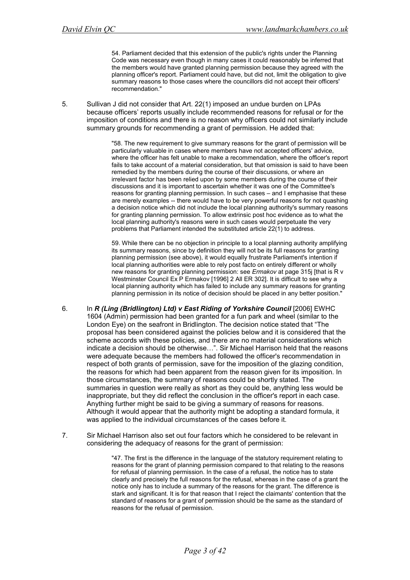54. Parliament decided that this extension of the public's rights under the Planning Code was necessary even though in many cases it could reasonably be inferred that the members would have granted planning permission because they agreed with the planning officer's report. Parliament could have, but did not, limit the obligation to give summary reasons to those cases where the councillors did not accept their officers' recommendation."

5. Sullivan J did not consider that Art. 22(1) imposed an undue burden on LPAs because officers' reports usually include recommended reasons for refusal or for the imposition of conditions and there is no reason why officers could not similarly include summary grounds for recommending a grant of permission. He added that:

> "58. The new requirement to give summary reasons for the grant of permission will be particularly valuable in cases where members have not accepted officers' advice, where the officer has felt unable to make a recommendation, where the officer's report fails to take account of a material consideration, but that omission is said to have been remedied by the members during the course of their discussions, or where an irrelevant factor has been relied upon by some members during the course of their discussions and it is important to ascertain whether it was one of the Committee's reasons for granting planning permission. In such cases – and I emphasise that these are merely examples -- there would have to be very powerful reasons for not quashing a decision notice which did not include the local planning authority's summary reasons for granting planning permission. To allow extrinsic post hoc evidence as to what the local planning authority's reasons were in such cases would perpetuate the very problems that Parliament intended the substituted article 22(1) to address.

> 59. While there can be no objection in principle to a local planning authority amplifying its summary reasons, since by definition they will not be its full reasons for granting planning permission (see above), it would equally frustrate Parliament's intention if local planning authorities were able to rely post facto on entirely different or wholly new reasons for granting planning permission: see Ermakov at page 315j [that is R v Westminster Council Ex P Ermakov [1996] 2 All ER 302]. It is difficult to see why a local planning authority which has failed to include any summary reasons for granting planning permission in its notice of decision should be placed in any better position."

- 6. In R (Ling (Bridlington) Ltd) v East Riding of Yorkshire Council [2006] EWHC 1604 (Admin) permission had been granted for a fun park and wheel (similar to the London Eye) on the seafront in Bridlington. The decision notice stated that "The proposal has been considered against the policies below and it is considered that the scheme accords with these policies, and there are no material considerations which indicate a decision should be otherwise…". Sir Michael Harrison held that the reasons were adequate because the members had followed the officer's recommendation in respect of both grants of permission, save for the imposition of the glazing condition, the reasons for which had been apparent from the reason given for its imposition. In those circumstances, the summary of reasons could be shortly stated. The summaries in question were really as short as they could be, anything less would be inappropriate, but they did reflect the conclusion in the officer's report in each case. Anything further might be said to be giving a summary of reasons for reasons. Although it would appear that the authority might be adopting a standard formula, it was applied to the individual circumstances of the cases before it.
- 7. Sir Michael Harrison also set out four factors which he considered to be relevant in considering the adequacy of reasons for the grant of permission:

"47. The first is the difference in the language of the statutory requirement relating to reasons for the grant of planning permission compared to that relating to the reasons for refusal of planning permission. In the case of a refusal, the notice has to state clearly and precisely the full reasons for the refusal, whereas in the case of a grant the notice only has to include a summary of the reasons for the grant. The difference is stark and significant. It is for that reason that I reject the claimants' contention that the standard of reasons for a grant of permission should be the same as the standard of reasons for the refusal of permission.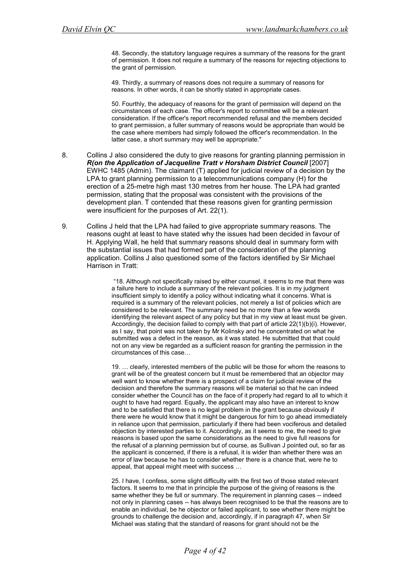48. Secondly, the statutory language requires a summary of the reasons for the grant of permission. It does not require a summary of the reasons for rejecting objections to the grant of permission.

49. Thirdly, a summary of reasons does not require a summary of reasons for reasons. In other words, it can be shortly stated in appropriate cases.

50. Fourthly, the adequacy of reasons for the grant of permission will depend on the circumstances of each case. The officer's report to committee will be a relevant consideration. If the officer's report recommended refusal and the members decided to grant permission, a fuller summary of reasons would be appropriate than would be the case where members had simply followed the officer's recommendation. In the latter case, a short summary may well be appropriate."

- 8. Collins J also considered the duty to give reasons for granting planning permission in R(on the Application of Jacqueline Tratt v Horsham District Council [2007] EWHC 1485 (Admin). The claimant (T) applied for judicial review of a decision by the LPA to grant planning permission to a telecommunications company (H) for the erection of a 25-metre high mast 130 metres from her house. The LPA had granted permission, stating that the proposal was consistent with the provisions of the development plan. T contended that these reasons given for granting permission were insufficient for the purposes of Art. 22(1).
- 9. Collins J held that the LPA had failed to give appropriate summary reasons. The reasons ought at least to have stated why the issues had been decided in favour of H. Applying Wall, he held that summary reasons should deal in summary form with the substantial issues that had formed part of the consideration of the planning application. Collins J also questioned some of the factors identified by Sir Michael Harrison in Tratt:

"18. Although not specifically raised by either counsel, it seems to me that there was a failure here to include a summary of the relevant policies. It is in my judgment insufficient simply to identify a policy without indicating what it concerns. What is required is a summary of the relevant policies, not merely a list of policies which are considered to be relevant. The summary need be no more than a few words identifying the relevant aspect of any policy but that in my view at least must be given. Accordingly, the decision failed to comply with that part of article  $22(1)(b)(i)$ . However, as I say, that point was not taken by Mr Kolinsky and he concentrated on what he submitted was a defect in the reason, as it was stated. He submitted that that could not on any view be regarded as a sufficient reason for granting the permission in the circumstances of this case…

19. … clearly, interested members of the public will be those for whom the reasons to grant will be of the greatest concern but it must be remembered that an objector may well want to know whether there is a prospect of a claim for judicial review of the decision and therefore the summary reasons will be material so that he can indeed consider whether the Council has on the face of it properly had regard to all to which it ought to have had regard. Equally, the applicant may also have an interest to know and to be satisfied that there is no legal problem in the grant because obviously if there were he would know that it might be dangerous for him to go ahead immediately in reliance upon that permission, particularly if there had been vociferous and detailed objection by interested parties to it. Accordingly, as it seems to me, the need to give reasons is based upon the same considerations as the need to give full reasons for the refusal of a planning permission but of course, as Sullivan J pointed out, so far as the applicant is concerned, if there is a refusal, it is wider than whether there was an error of law because he has to consider whether there is a chance that, were he to appeal, that appeal might meet with success …

25. I have, I confess, some slight difficulty with the first two of those stated relevant factors. It seems to me that in principle the purpose of the giving of reasons is the same whether they be full or summary. The requirement in planning cases -- indeed not only in planning cases -- has always been recognised to be that the reasons are to enable an individual, be he objector or failed applicant, to see whether there might be grounds to challenge the decision and, accordingly, if in paragraph 47, when Sir Michael was stating that the standard of reasons for grant should not be the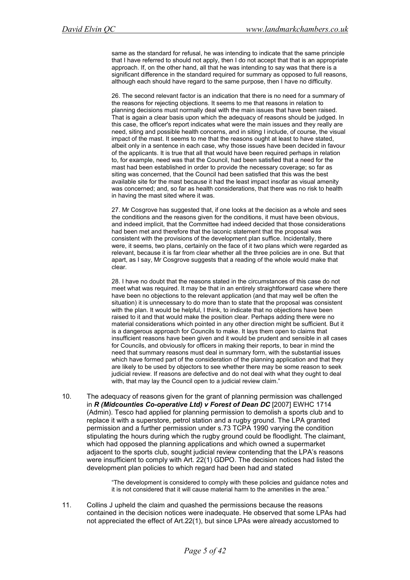same as the standard for refusal, he was intending to indicate that the same principle that I have referred to should not apply, then I do not accept that that is an appropriate approach. If, on the other hand, all that he was intending to say was that there is a significant difference in the standard required for summary as opposed to full reasons, although each should have regard to the same purpose, then I have no difficulty.

26. The second relevant factor is an indication that there is no need for a summary of the reasons for rejecting objections. It seems to me that reasons in relation to planning decisions must normally deal with the main issues that have been raised. That is again a clear basis upon which the adequacy of reasons should be judged. In this case, the officer's report indicates what were the main issues and they really are need, siting and possible health concerns, and in siting I include, of course, the visual impact of the mast. It seems to me that the reasons ought at least to have stated, albeit only in a sentence in each case, why those issues have been decided in favour of the applicants. It is true that all that would have been required perhaps in relation to, for example, need was that the Council, had been satisfied that a need for the mast had been established in order to provide the necessary coverage; so far as siting was concerned, that the Council had been satisfied that this was the best available site for the mast because it had the least impact insofar as visual amenity was concerned; and, so far as health considerations, that there was no risk to health in having the mast sited where it was.

27. Mr Cosgrove has suggested that, if one looks at the decision as a whole and sees the conditions and the reasons given for the conditions, it must have been obvious, and indeed implicit, that the Committee had indeed decided that those considerations had been met and therefore that the laconic statement that the proposal was consistent with the provisions of the development plan suffice. Incidentally, there were, it seems, two plans, certainly on the face of it two plans which were regarded as relevant, because it is far from clear whether all the three policies are in one. But that apart, as I say, Mr Cosgrove suggests that a reading of the whole would make that clear.

28. I have no doubt that the reasons stated in the circumstances of this case do not meet what was required. It may be that in an entirely straightforward case where there have been no objections to the relevant application (and that may well be often the situation) it is unnecessary to do more than to state that the proposal was consistent with the plan. It would be helpful, I think, to indicate that no objections have been raised to it and that would make the position clear. Perhaps adding there were no material considerations which pointed in any other direction might be sufficient. But it is a dangerous approach for Councils to make. It lays them open to claims that insufficient reasons have been given and it would be prudent and sensible in all cases for Councils, and obviously for officers in making their reports, to bear in mind the need that summary reasons must deal in summary form, with the substantial issues which have formed part of the consideration of the planning application and that they are likely to be used by objectors to see whether there may be some reason to seek judicial review. If reasons are defective and do not deal with what they ought to deal with, that may lay the Council open to a judicial review claim."

10. The adequacy of reasons given for the grant of planning permission was challenged in R (Midcounties Co-operative Ltd) v Forest of Dean DC [2007] EWHC 1714 (Admin). Tesco had applied for planning permission to demolish a sports club and to replace it with a superstore, petrol station and a rugby ground. The LPA granted permission and a further permission under s.73 TCPA 1990 varying the condition stipulating the hours during which the rugby ground could be floodlight. The claimant, which had opposed the planning applications and which owned a supermarket adjacent to the sports club, sought judicial review contending that the LPA's reasons were insufficient to comply with Art. 22(1) GDPO. The decision notices had listed the development plan policies to which regard had been had and stated

> "The development is considered to comply with these policies and guidance notes and it is not considered that it will cause material harm to the amenities in the area."

11. Collins J upheld the claim and quashed the permissions because the reasons contained in the decision notices were inadequate. He observed that some LPAs had not appreciated the effect of Art.22(1), but since LPAs were already accustomed to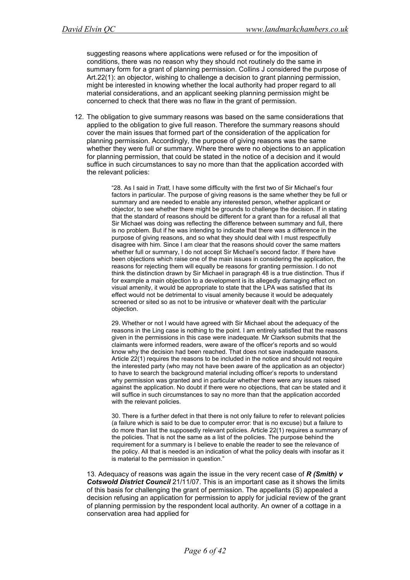suggesting reasons where applications were refused or for the imposition of conditions, there was no reason why they should not routinely do the same in summary form for a grant of planning permission. Collins J considered the purpose of Art.22(1): an objector, wishing to challenge a decision to grant planning permission, might be interested in knowing whether the local authority had proper regard to all material considerations, and an applicant seeking planning permission might be concerned to check that there was no flaw in the grant of permission.

12. The obligation to give summary reasons was based on the same considerations that applied to the obligation to give full reason. Therefore the summary reasons should cover the main issues that formed part of the consideration of the application for planning permission. Accordingly, the purpose of giving reasons was the same whether they were full or summary. Where there were no objections to an application for planning permission, that could be stated in the notice of a decision and it would suffice in such circumstances to say no more than that the application accorded with the relevant policies:

> "28. As I said in Tratt, I have some difficulty with the first two of Sir Michael's four factors in particular. The purpose of giving reasons is the same whether they be full or summary and are needed to enable any interested person, whether applicant or objector, to see whether there might be grounds to challenge the decision. If in stating that the standard of reasons should be different for a grant than for a refusal all that Sir Michael was doing was reflecting the difference between summary and full, there is no problem. But if he was intending to indicate that there was a difference in the purpose of giving reasons, and so what they should deal with I must respectfully disagree with him. Since I am clear that the reasons should cover the same matters whether full or summary, I do not accept Sir Michael's second factor. If there have been objections which raise one of the main issues in considering the application, the reasons for rejecting them will equally be reasons for granting permission. I do not think the distinction drawn by Sir Michael in paragraph 48 is a true distinction. Thus if for example a main objection to a development is its allegedly damaging effect on visual amenity, it would be appropriate to state that the LPA was satisfied that its effect would not be detrimental to visual amenity because it would be adequately screened or sited so as not to be intrusive or whatever dealt with the particular objection.

> 29. Whether or not I would have agreed with Sir Michael about the adequacy of the reasons in the Ling case is nothing to the point. I am entirely satisfied that the reasons given in the permissions in this case were inadequate. Mr Clarkson submits that the claimants were informed readers, were aware of the officer's reports and so would know why the decision had been reached. That does not save inadequate reasons. Article 22(1) requires the reasons to be included in the notice and should not require the interested party (who may not have been aware of the application as an objector) to have to search the background material including officer's reports to understand why permission was granted and in particular whether there were any issues raised against the application. No doubt if there were no objections, that can be stated and it will suffice in such circumstances to say no more than that the application accorded with the relevant policies.

> 30. There is a further defect in that there is not only failure to refer to relevant policies (a failure which is said to be due to computer error: that is no excuse) but a failure to do more than list the supposedly relevant policies. Article 22(1) requires a summary of the policies. That is not the same as a list of the policies. The purpose behind the requirement for a summary is I believe to enable the reader to see the relevance of the policy. All that is needed is an indication of what the policy deals with insofar as it is material to the permission in question."

13. Adequacy of reasons was again the issue in the very recent case of  $R$  (Smith)  $v$ Cotswold District Council 21/11/07. This is an important case as it shows the limits of this basis for challenging the grant of permission. The appellants (S) appealed a decision refusing an application for permission to apply for judicial review of the grant of planning permission by the respondent local authority. An owner of a cottage in a conservation area had applied for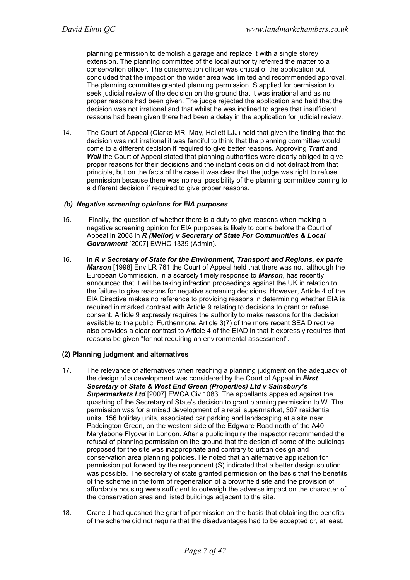planning permission to demolish a garage and replace it with a single storey extension. The planning committee of the local authority referred the matter to a conservation officer. The conservation officer was critical of the application but concluded that the impact on the wider area was limited and recommended approval. The planning committee granted planning permission. S applied for permission to seek judicial review of the decision on the ground that it was irrational and as no proper reasons had been given. The judge rejected the application and held that the decision was not irrational and that whilst he was inclined to agree that insufficient reasons had been given there had been a delay in the application for judicial review.

14. The Court of Appeal (Clarke MR, May, Hallett LJJ) held that given the finding that the decision was not irrational it was fanciful to think that the planning committee would come to a different decision if required to give better reasons. Approving Tratt and Wall the Court of Appeal stated that planning authorities were clearly obliged to give proper reasons for their decisions and the instant decision did not detract from that principle, but on the facts of the case it was clear that the judge was right to refuse permission because there was no real possibility of the planning committee coming to a different decision if required to give proper reasons.

## (b) Negative screening opinions for EIA purposes

- 15. Finally, the question of whether there is a duty to give reasons when making a negative screening opinion for EIA purposes is likely to come before the Court of Appeal in 2008 in R (Mellor) v Secretary of State For Communities & Local Government [2007] EWHC 1339 (Admin).
- 16. In R v Secretary of State for the Environment, Transport and Regions, ex parte Marson [1998] Env LR 761 the Court of Appeal held that there was not, although the European Commission, in a scarcely timely response to **Marson**, has recently announced that it will be taking infraction proceedings against the UK in relation to the failure to give reasons for negative screening decisions. However, Article 4 of the EIA Directive makes no reference to providing reasons in determining whether EIA is required in marked contrast with Article 9 relating to decisions to grant or refuse consent. Article 9 expressly requires the authority to make reasons for the decision available to the public. Furthermore, Article 3(7) of the more recent SEA Directive also provides a clear contrast to Article 4 of the EIAD in that it expressly requires that reasons be given "for not requiring an environmental assessment".

## (2) Planning judgment and alternatives

- 17. The relevance of alternatives when reaching a planning judgment on the adequacy of the design of a development was considered by the Court of Appeal in First Secretary of State & West End Green (Properties) Ltd v Sainsbury's Supermarkets Ltd [2007] EWCA Civ 1083. The appellants appealed against the quashing of the Secretary of State's decision to grant planning permission to W. The permission was for a mixed development of a retail supermarket, 307 residential units, 156 holiday units, associated car parking and landscaping at a site near Paddington Green, on the western side of the Edgware Road north of the A40 Marylebone Flyover in London. After a public inquiry the inspector recommended the refusal of planning permission on the ground that the design of some of the buildings proposed for the site was inappropriate and contrary to urban design and conservation area planning policies. He noted that an alternative application for permission put forward by the respondent (S) indicated that a better design solution was possible. The secretary of state granted permission on the basis that the benefits of the scheme in the form of regeneration of a brownfield site and the provision of affordable housing were sufficient to outweigh the adverse impact on the character of the conservation area and listed buildings adjacent to the site.
- 18. Crane J had quashed the grant of permission on the basis that obtaining the benefits of the scheme did not require that the disadvantages had to be accepted or, at least,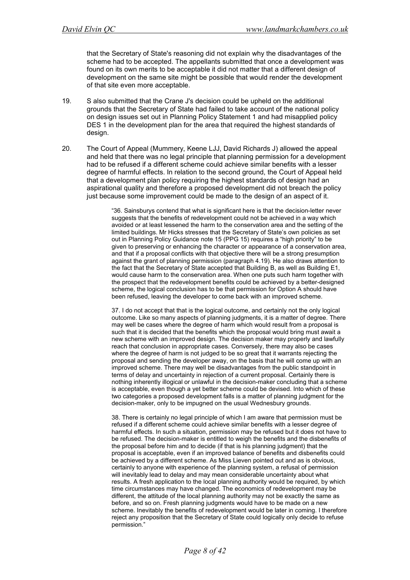that the Secretary of State's reasoning did not explain why the disadvantages of the scheme had to be accepted. The appellants submitted that once a development was found on its own merits to be acceptable it did not matter that a different design of development on the same site might be possible that would render the development of that site even more acceptable.

- 19. S also submitted that the Crane J's decision could be upheld on the additional grounds that the Secretary of State had failed to take account of the national policy on design issues set out in Planning Policy Statement 1 and had misapplied policy DES 1 in the development plan for the area that required the highest standards of design.
- 20. The Court of Appeal (Mummery, Keene LJJ, David Richards J) allowed the appeal and held that there was no legal principle that planning permission for a development had to be refused if a different scheme could achieve similar benefits with a lesser degree of harmful effects. In relation to the second ground, the Court of Appeal held that a development plan policy requiring the highest standards of design had an aspirational quality and therefore a proposed development did not breach the policy just because some improvement could be made to the design of an aspect of it.

"36. Sainsburys contend that what is significant here is that the decision-letter never suggests that the benefits of redevelopment could not be achieved in a way which avoided or at least lessened the harm to the conservation area and the setting of the limited buildings. Mr Hicks stresses that the Secretary of State's own policies as set out in Planning Policy Guidance note 15 (PPG 15) requires a "high priority" to be given to preserving or enhancing the character or appearance of a conservation area, and that if a proposal conflicts with that objective there will be a strong presumption against the grant of planning permission (paragraph 4.19). He also draws attention to the fact that the Secretary of State accepted that Building B, as well as Building E1, would cause harm to the conservation area. When one puts such harm together with the prospect that the redevelopment benefits could be achieved by a better-designed scheme, the logical conclusion has to be that permission for Option A should have been refused, leaving the developer to come back with an improved scheme.

37. I do not accept that that is the logical outcome, and certainly not the only logical outcome. Like so many aspects of planning judgments, it is a matter of degree. There may well be cases where the degree of harm which would result from a proposal is such that it is decided that the benefits which the proposal would bring must await a new scheme with an improved design. The decision maker may properly and lawfully reach that conclusion in appropriate cases. Conversely, there may also be cases where the degree of harm is not judged to be so great that it warrants rejecting the proposal and sending the developer away, on the basis that he will come up with an improved scheme. There may well be disadvantages from the public standpoint in terms of delay and uncertainty in rejection of a current proposal. Certainly there is nothing inherently illogical or unlawful in the decision-maker concluding that a scheme is acceptable, even though a yet better scheme could be devised. Into which of these two categories a proposed development falls is a matter of planning judgment for the decision-maker, only to be impugned on the usual Wednesbury grounds.

38. There is certainly no legal principle of which I am aware that permission must be refused if a different scheme could achieve similar benefits with a lesser degree of harmful effects. In such a situation, permission may be refused but it does not have to be refused. The decision-maker is entitled to weigh the benefits and the disbenefits of the proposal before him and to decide (if that is his planning judgment) that the proposal is acceptable, even if an improved balance of benefits and disbenefits could be achieved by a different scheme. As Miss Lieven pointed out and as is obvious, certainly to anyone with experience of the planning system, a refusal of permission will inevitably lead to delay and may mean considerable uncertainty about what results. A fresh application to the local planning authority would be required, by which time circumstances may have changed. The economics of redevelopment may be different, the attitude of the local planning authority may not be exactly the same as before, and so on. Fresh planning judgments would have to be made on a new scheme. Inevitably the benefits of redevelopment would be later in coming. I therefore reject any proposition that the Secretary of State could logically only decide to refuse permission."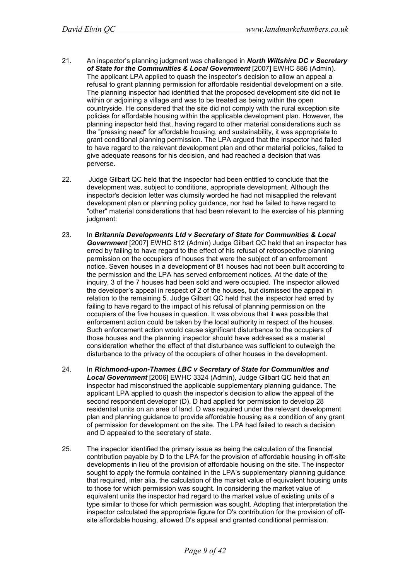- 21. An inspector's planning judgment was challenged in **North Wiltshire DC v Secretary** of State for the Communities & Local Government [2007] EWHC 886 (Admin). The applicant LPA applied to quash the inspector's decision to allow an appeal a refusal to grant planning permission for affordable residential development on a site. The planning inspector had identified that the proposed development site did not lie within or adjoining a village and was to be treated as being within the open countryside. He considered that the site did not comply with the rural exception site policies for affordable housing within the applicable development plan. However, the planning inspector held that, having regard to other material considerations such as the "pressing need" for affordable housing, and sustainability, it was appropriate to grant conditional planning permission. The LPA argued that the inspector had failed to have regard to the relevant development plan and other material policies, failed to give adequate reasons for his decision, and had reached a decision that was perverse.
- 22. Judge Gilbart QC held that the inspector had been entitled to conclude that the development was, subject to conditions, appropriate development. Although the inspector's decision letter was clumsily worded he had not misapplied the relevant development plan or planning policy guidance, nor had he failed to have regard to "other" material considerations that had been relevant to the exercise of his planning judgment:
- 23. In Britannia Developments Ltd v Secretary of State for Communities & Local Government [2007] EWHC 812 (Admin) Judge Gilbart QC held that an inspector has erred by failing to have regard to the effect of his refusal of retrospective planning permission on the occupiers of houses that were the subject of an enforcement notice. Seven houses in a development of 81 houses had not been built according to the permission and the LPA has served enforcement notices. At the date of the inquiry, 3 of the 7 houses had been sold and were occupied. The inspector allowed the developer's appeal in respect of 2 of the houses, but dismissed the appeal in relation to the remaining 5. Judge Gilbart QC held that the inspector had erred by failing to have regard to the impact of his refusal of planning permission on the occupiers of the five houses in question. It was obvious that it was possible that enforcement action could be taken by the local authority in respect of the houses. Such enforcement action would cause significant disturbance to the occupiers of those houses and the planning inspector should have addressed as a material consideration whether the effect of that disturbance was sufficient to outweigh the disturbance to the privacy of the occupiers of other houses in the development.
- 24. In Richmond-upon-Thames LBC v Secretary of State for Communities and Local Government [2006] EWHC 3324 (Admin), Judge Gilbart QC held that an inspector had misconstrued the applicable supplementary planning guidance. The applicant LPA applied to quash the inspector's decision to allow the appeal of the second respondent developer (D). D had applied for permission to develop 28 residential units on an area of land. D was required under the relevant development plan and planning guidance to provide affordable housing as a condition of any grant of permission for development on the site. The LPA had failed to reach a decision and D appealed to the secretary of state.
- 25. The inspector identified the primary issue as being the calculation of the financial contribution payable by D to the LPA for the provision of affordable housing in off-site developments in lieu of the provision of affordable housing on the site. The inspector sought to apply the formula contained in the LPA's supplementary planning guidance that required, inter alia, the calculation of the market value of equivalent housing units to those for which permission was sought. In considering the market value of equivalent units the inspector had regard to the market value of existing units of a type similar to those for which permission was sought. Adopting that interpretation the inspector calculated the appropriate figure for D's contribution for the provision of offsite affordable housing, allowed D's appeal and granted conditional permission.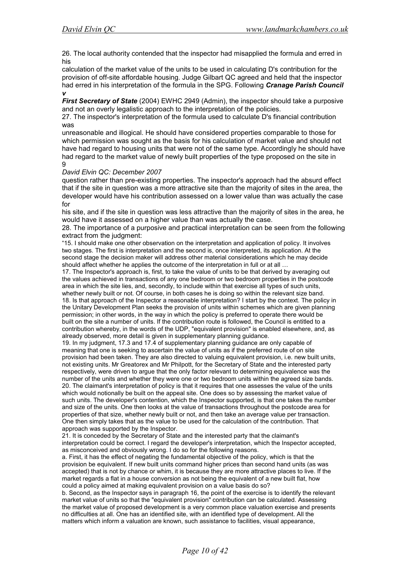26. The local authority contended that the inspector had misapplied the formula and erred in his

calculation of the market value of the units to be used in calculating D's contribution for the provision of off-site affordable housing. Judge Gilbart QC agreed and held that the inspector had erred in his interpretation of the formula in the SPG. Following *Cranage Parish Council* v

First Secretary of State (2004) EWHC 2949 (Admin), the inspector should take a purposive and not an overly legalistic approach to the interpretation of the policies.

27. The inspector's interpretation of the formula used to calculate D's financial contribution was

unreasonable and illogical. He should have considered properties comparable to those for which permission was sought as the basis for his calculation of market value and should not have had regard to housing units that were not of the same type. Accordingly he should have had regard to the market value of newly built properties of the type proposed on the site in 9

## David Elvin QC: December 2007

question rather than pre-existing properties. The inspector's approach had the absurd effect that if the site in question was a more attractive site than the majority of sites in the area, the developer would have his contribution assessed on a lower value than was actually the case for

his site, and if the site in question was less attractive than the majority of sites in the area, he would have it assessed on a higher value than was actually the case.

28. The importance of a purposive and practical interpretation can be seen from the following extract from the judgment:

"15. I should make one other observation on the interpretation and application of policy. It involves two stages. The first is interpretation and the second is, once interpreted, its application. At the second stage the decision maker will address other material considerations which he may decide should affect whether he applies the outcome of the interpretation in full or at all …

17. The Inspector's approach is, first, to take the value of units to be that derived by averaging out the values achieved in transactions of any one bedroom or two bedroom properties in the postcode area in which the site lies, and, secondly, to include within that exercise all types of such units, whether newly built or not. Of course, in both cases he is doing so within the relevant size band. 18. Is that approach of the Inspector a reasonable interpretation? I start by the context. The policy in the Unitary Development Plan seeks the provision of units within schemes which are given planning permission; in other words, in the way in which the policy is preferred to operate there would be built on the site a number of units. If the contribution route is followed, the Council is entitled to a contribution whereby, in the words of the UDP, "equivalent provision" is enabled elsewhere, and, as already observed, more detail is given in supplementary planning guidance.

19. In my judgment, 17.3 and 17.4 of supplementary planning guidance are only capable of meaning that one is seeking to ascertain the value of units as if the preferred route of on site provision had been taken. They are also directed to valuing equivalent provision, i.e. new built units, not existing units. Mr Greatorex and Mr Philpott, for the Secretary of State and the interested party respectively, were driven to argue that the only factor relevant to determining equivalence was the number of the units and whether they were one or two bedroom units within the agreed size bands. 20. The claimant's interpretation of policy is that it requires that one assesses the value of the units which would notionally be built on the appeal site. One does so by assessing the market value of such units. The developer's contention, which the Inspector supported, is that one takes the number and size of the units. One then looks at the value of transactions throughout the postcode area for properties of that size, whether newly built or not, and then take an average value per transaction. One then simply takes that as the value to be used for the calculation of the contribution. That approach was supported by the Inspector.

21. It is conceded by the Secretary of State and the interested party that the claimant's interpretation could be correct. I regard the developer's interpretation, which the Inspector accepted, as misconceived and obviously wrong. I do so for the following reasons.

a. First, it has the effect of negating the fundamental objective of the policy, which is that the provision be equivalent. If new built units command higher prices than second hand units (as was accepted) that is not by chance or whim, it is because they are more attractive places to live. If the market regards a flat in a house conversion as not being the equivalent of a new built flat, how could a policy aimed at making equivalent provision on a value basis do so?

b. Second, as the Inspector says in paragraph 16, the point of the exercise is to identify the relevant market value of units so that the "equivalent provision" contribution can be calculated. Assessing the market value of proposed development is a very common place valuation exercise and presents no difficulties at all. One has an identified site, with an identified type of development. All the matters which inform a valuation are known, such assistance to facilities, visual appearance,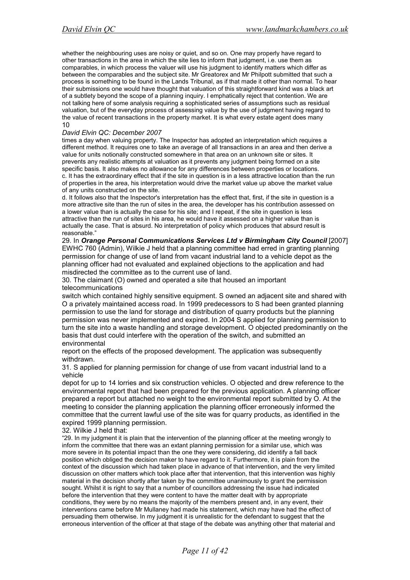whether the neighbouring uses are noisy or quiet, and so on. One may properly have regard to other transactions in the area in which the site lies to inform that judgment, i.e. use them as comparables, in which process the valuer will use his judgment to identify matters which differ as between the comparables and the subject site. Mr Greatorex and Mr Philpott submitted that such a process is something to be found in the Lands Tribunal, as if that made it other than normal. To hear their submissions one would have thought that valuation of this straightforward kind was a black art of a subtlety beyond the scope of a planning inquiry. I emphatically reject that contention. We are not talking here of some analysis requiring a sophisticated series of assumptions such as residual valuation, but of the everyday process of assessing value by the use of judgment having regard to the value of recent transactions in the property market. It is what every estate agent does many 10

#### David Elvin QC: December 2007

times a day when valuing property. The Inspector has adopted an interpretation which requires a different method. It requires one to take an average of all transactions in an area and then derive a value for units notionally constructed somewhere in that area on an unknown site or sites. It prevents any realistic attempts at valuation as it prevents any judgment being formed on a site specific basis. It also makes no allowance for any differences between properties or locations. c. It has the extraordinary effect that if the site in question is in a less attractive location than the run of properties in the area, his interpretation would drive the market value up above the market value of any units constructed on the site.

d. It follows also that the Inspector's interpretation has the effect that, first, if the site in question is a more attractive site than the run of sites in the area, the developer has his contribution assessed on a lower value than is actually the case for his site; and I repeat, if the site in question is less attractive than the run of sites in his area, he would have it assessed on a higher value than is actually the case. That is absurd. No interpretation of policy which produces that absurd result is reasonable."

29. In Orange Personal Communications Services Ltd v Birmingham City Council [2007] EWHC 760 (Admin), Wilkie J held that a planning committee had erred in granting planning permission for change of use of land from vacant industrial land to a vehicle depot as the planning officer had not evaluated and explained objections to the application and had misdirected the committee as to the current use of land.

30. The claimant (O) owned and operated a site that housed an important telecommunications

switch which contained highly sensitive equipment. S owned an adjacent site and shared with O a privately maintained access road. In 1999 predecessors to S had been granted planning permission to use the land for storage and distribution of quarry products but the planning permission was never implemented and expired. In 2004 S applied for planning permission to turn the site into a waste handling and storage development. O objected predominantly on the basis that dust could interfere with the operation of the switch, and submitted an environmental

report on the effects of the proposed development. The application was subsequently withdrawn.

31. S applied for planning permission for change of use from vacant industrial land to a vehicle

depot for up to 14 lorries and six construction vehicles. O objected and drew reference to the environmental report that had been prepared for the previous application. A planning officer prepared a report but attached no weight to the environmental report submitted by O. At the meeting to consider the planning application the planning officer erroneously informed the committee that the current lawful use of the site was for quarry products, as identified in the expired 1999 planning permission.

32. Wilkie J held that:

"29. In my judgment it is plain that the intervention of the planning officer at the meeting wrongly to inform the committee that there was an extant planning permission for a similar use, which was more severe in its potential impact than the one they were considering, did identify a fall back position which obliged the decision maker to have regard to it. Furthermore, it is plain from the context of the discussion which had taken place in advance of that intervention, and the very limited discussion on other matters which took place after that intervention, that this intervention was highly material in the decision shortly after taken by the committee unanimously to grant the permission sought. Whilst it is right to say that a number of councillors addressing the issue had indicated before the intervention that they were content to have the matter dealt with by appropriate conditions, they were by no means the majority of the members present and, in any event, their interventions came before Mr Mullaney had made his statement, which may have had the effect of persuading them otherwise. In my judgment it is unrealistic for the defendant to suggest that the erroneous intervention of the officer at that stage of the debate was anything other that material and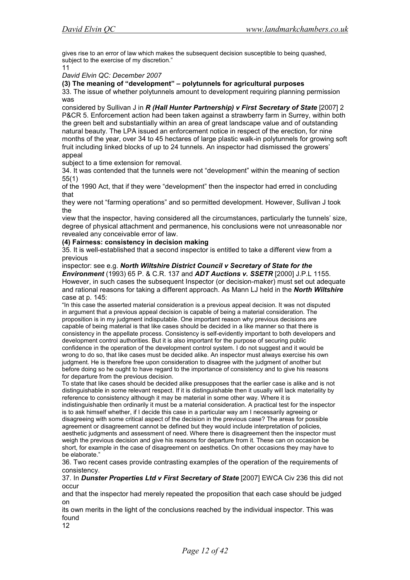gives rise to an error of law which makes the subsequent decision susceptible to being quashed, subject to the exercise of my discretion."

11

David Elvin QC: December 2007

## (3) The meaning of "development" – polytunnels for agricultural purposes

33. The issue of whether polytunnels amount to development requiring planning permission was

considered by Sullivan J in R (Hall Hunter Partnership) v First Secretary of State [2007] 2 P&CR 5. Enforcement action had been taken against a strawberry farm in Surrey, within both the green belt and substantially within an area of great landscape value and of outstanding natural beauty. The LPA issued an enforcement notice in respect of the erection, for nine months of the year, over 34 to 45 hectares of large plastic walk-in polytunnels for growing soft fruit including linked blocks of up to 24 tunnels. An inspector had dismissed the growers' appeal

subject to a time extension for removal.

34. It was contended that the tunnels were not "development" within the meaning of section 55(1)

of the 1990 Act, that if they were "development" then the inspector had erred in concluding that

they were not "farming operations" and so permitted development. However, Sullivan J took the

view that the inspector, having considered all the circumstances, particularly the tunnels' size, degree of physical attachment and permanence, his conclusions were not unreasonable nor revealed any conceivable error of law.

(4) Fairness: consistency in decision making

35. It is well-established that a second inspector is entitled to take a different view from a previous

inspector: see e.g. North Wiltshire District Council v Secretary of State for the Environment (1993) 65 P. & C.R. 137 and ADT Auctions v. SSETR [2000] J.P.L 1155. However, in such cases the subsequent Inspector (or decision-maker) must set out adequate and rational reasons for taking a different approach. As Mann LJ held in the **North Wiltshire** case at p. 145:

"In this case the asserted material consideration is a previous appeal decision. It was not disputed in argument that a previous appeal decision is capable of being a material consideration. The proposition is in my judgment indisputable. One important reason why previous decisions are capable of being material is that like cases should be decided in a like manner so that there is consistency in the appellate process. Consistency is self-evidently important to both developers and development control authorities. But it is also important for the purpose of securing public confidence in the operation of the development control system. I do not suggest and it would be wrong to do so, that like cases must be decided alike. An inspector must always exercise his own judgment. He is therefore free upon consideration to disagree with the judgment of another but before doing so he ought to have regard to the importance of consistency and to give his reasons for departure from the previous decision.

To state that like cases should be decided alike presupposes that the earlier case is alike and is not distinguishable in some relevant respect. If it is distinguishable then it usually will lack materiality by reference to consistency although it may be material in some other way. Where it is

indistinguishable then ordinarily it must be a material consideration. A practical test for the inspector is to ask himself whether, if I decide this case in a particular way am I necessarily agreeing or disagreeing with some critical aspect of the decision in the previous case? The areas for possible agreement or disagreement cannot be defined but they would include interpretation of policies, aesthetic judgments and assessment of need. Where there is disagreement then the inspector must weigh the previous decision and give his reasons for departure from it. These can on occasion be short, for example in the case of disagreement on aesthetics. On other occasions they may have to be elaborate."

36. Two recent cases provide contrasting examples of the operation of the requirements of consistency.

37. In Dunster Properties Ltd v First Secretary of State [2007] EWCA Civ 236 this did not occur

and that the inspector had merely repeated the proposition that each case should be judged on

its own merits in the light of the conclusions reached by the individual inspector. This was found

12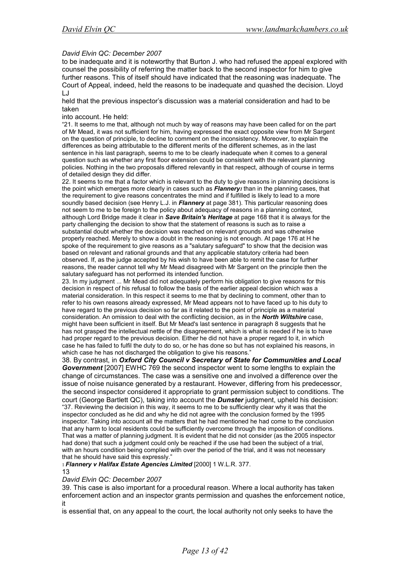## David Elvin QC: December 2007

to be inadequate and it is noteworthy that Burton J. who had refused the appeal explored with counsel the possibility of referring the matter back to the second inspector for him to give further reasons. This of itself should have indicated that the reasoning was inadequate. The Court of Appeal, indeed, held the reasons to be inadequate and quashed the decision. Lloyd LJ

held that the previous inspector's discussion was a material consideration and had to be taken

#### into account. He held:

"21. It seems to me that, although not much by way of reasons may have been called for on the part of Mr Mead, it was not sufficient for him, having expressed the exact opposite view from Mr Sargent on the question of principle, to decline to comment on the inconsistency. Moreover, to explain the differences as being attributable to the different merits of the different schemes, as in the last sentence in his last paragraph, seems to me to be clearly inadequate when it comes to a general question such as whether any first floor extension could be consistent with the relevant planning policies. Nothing in the two proposals differed relevantly in that respect, although of course in terms of detailed design they did differ.

22. It seems to me that a factor which is relevant to the duty to give reasons in planning decisions is the point which emerges more clearly in cases such as Flannery<sub>1</sub> than in the planning cases, that the requirement to give reasons concentrates the mind and if fulfilled is likely to lead to a more soundly based decision (see Henry L.J. in **Flannery** at page 381). This particular reasoning does not seem to me to be foreign to the policy about adequacy of reasons in a planning context, although Lord Bridge made it clear in Save Britain's Heritage at page 168 that it is always for the party challenging the decision to show that the statement of reasons is such as to raise a substantial doubt whether the decision was reached on relevant grounds and was otherwise properly reached. Merely to show a doubt in the reasoning is not enough. At page 176 at H he spoke of the requirement to give reasons as a "salutary safeguard" to show that the decision was based on relevant and rational grounds and that any applicable statutory criteria had been observed. If, as the judge accepted by his wish to have been able to remit the case for further reasons, the reader cannot tell why Mr Mead disagreed with Mr Sargent on the principle then the salutary safeguard has not performed its intended function.

23. In my judgment ... Mr Mead did not adequately perform his obligation to give reasons for this decision in respect of his refusal to follow the basis of the earlier appeal decision which was a material consideration. In this respect it seems to me that by declining to comment, other than to refer to his own reasons already expressed, Mr Mead appears not to have faced up to his duty to have regard to the previous decision so far as it related to the point of principle as a material consideration. An omission to deal with the conflicting decision, as in the **North Wiltshire** case, might have been sufficient in itself. But Mr Mead's last sentence in paragraph 8 suggests that he has not grasped the intellectual nettle of the disagreement, which is what is needed if he is to have had proper regard to the previous decision. Either he did not have a proper regard to it, in which case he has failed to fulfil the duty to do so, or he has done so but has not explained his reasons, in which case he has not discharged the obligation to give his reasons."

38. By contrast, in Oxford City Council v Secretary of State for Communities and Local Government [2007] EWHC 769 the second inspector went to some lengths to explain the change of circumstances. The case was a sensitive one and involved a difference over the issue of noise nuisance generated by a restaurant. However, differing from his predecessor, the second inspector considered it appropriate to grant permission subject to conditions. The court (George Bartlett QC), taking into account the **Dunster** judgment, upheld his decision: "37. Reviewing the decision in this way, it seems to me to be sufficiently clear why it was that the inspector concluded as he did and why he did not agree with the conclusion formed by the 1995 inspector. Taking into account all the matters that he had mentioned he had come to the conclusion that any harm to local residents could be sufficiently overcome through the imposition of conditions. That was a matter of planning judgment. It is evident that he did not consider (as the 2005 inspector had done) that such a judgment could only be reached if the use had been the subject of a trial. with an hours condition being complied with over the period of the trial, and it was not necessary that he should have said this expressly."

#### 1 Flannery v Halifax Estate Agencies Limited [2000] 1 W.L.R. 377. 13

#### David Elvin QC: December 2007

39. This case is also important for a procedural reason. Where a local authority has taken enforcement action and an inspector grants permission and quashes the enforcement notice, it

is essential that, on any appeal to the court, the local authority not only seeks to have the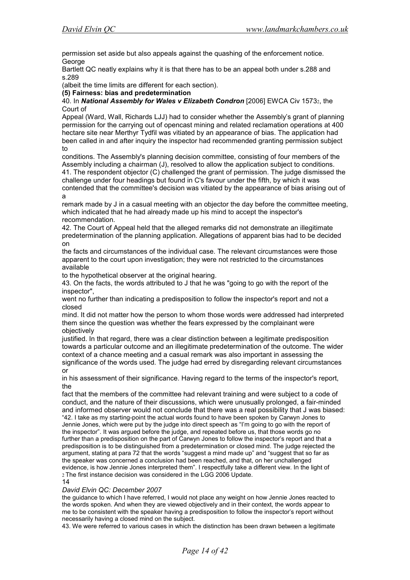permission set aside but also appeals against the quashing of the enforcement notice. **George** 

Bartlett QC neatly explains why it is that there has to be an appeal both under s.288 and s.289

(albeit the time limits are different for each section).

(5) Fairness: bias and predetermination

40. In National Assembly for Wales v Elizabeth Condron [2006] EWCA Civ 15732, the Court of

Appeal (Ward, Wall, Richards LJJ) had to consider whether the Assembly's grant of planning permission for the carrying out of opencast mining and related reclamation operations at 400 hectare site near Merthyr Tydfil was vitiated by an appearance of bias. The application had been called in and after inquiry the inspector had recommended granting permission subject to

conditions. The Assembly's planning decision committee, consisting of four members of the Assembly including a chairman (J), resolved to allow the application subject to conditions.

41. The respondent objector (C) challenged the grant of permission. The judge dismissed the challenge under four headings but found in C's favour under the fifth, by which it was contended that the committee's decision was vitiated by the appearance of bias arising out of a

remark made by J in a casual meeting with an objector the day before the committee meeting, which indicated that he had already made up his mind to accept the inspector's recommendation.

42. The Court of Appeal held that the alleged remarks did not demonstrate an illegitimate predetermination of the planning application. Allegations of apparent bias had to be decided on

the facts and circumstances of the individual case. The relevant circumstances were those apparent to the court upon investigation; they were not restricted to the circumstances available

to the hypothetical observer at the original hearing.

43. On the facts, the words attributed to J that he was "going to go with the report of the inspector",

went no further than indicating a predisposition to follow the inspector's report and not a closed

mind. It did not matter how the person to whom those words were addressed had interpreted them since the question was whether the fears expressed by the complainant were objectively

justified. In that regard, there was a clear distinction between a legitimate predisposition towards a particular outcome and an illegitimate predetermination of the outcome. The wider context of a chance meeting and a casual remark was also important in assessing the significance of the words used. The judge had erred by disregarding relevant circumstances or

in his assessment of their significance. Having regard to the terms of the inspector's report, the

fact that the members of the committee had relevant training and were subject to a code of conduct, and the nature of their discussions, which were unusually prolonged, a fair-minded and informed observer would not conclude that there was a real possibility that J was biased: "42. I take as my starting-point the actual words found to have been spoken by Carwyn Jones to Jennie Jones, which were put by the judge into direct speech as "I'm going to go with the report of the inspector". It was argued before the judge, and repeated before us, that those words go no further than a predisposition on the part of Carwyn Jones to follow the inspector's report and that a predisposition is to be distinguished from a predetermination or closed mind. The judge rejected the argument, stating at para 72 that the words "suggest a mind made up" and "suggest that so far as the speaker was concerned a conclusion had been reached, and that, on her unchallenged evidence, is how Jennie Jones interpreted them". I respectfully take a different view. In the light of 2 The first instance decision was considered in the LGG 2006 Update. 14

## David Elvin QC: December 2007

the guidance to which I have referred, I would not place any weight on how Jennie Jones reacted to the words spoken. And when they are viewed objectively and in their context, the words appear to me to be consistent with the speaker having a predisposition to follow the inspector's report without necessarily having a closed mind on the subject.

43. We were referred to various cases in which the distinction has been drawn between a legitimate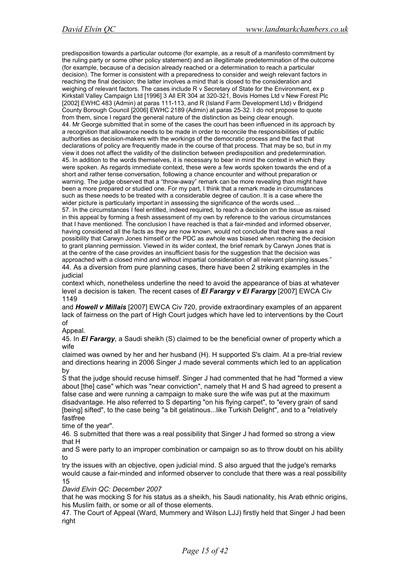predisposition towards a particular outcome (for example, as a result of a manifesto commitment by the ruling party or some other policy statement) and an illegitimate predetermination of the outcome (for example, because of a decision already reached or a determination to reach a particular decision). The former is consistent with a preparedness to consider and weigh relevant factors in reaching the final decision; the latter involves a mind that is closed to the consideration and weighing of relevant factors. The cases include R v Secretary of State for the Environment, ex p Kirkstall Valley Campaign Ltd [1996] 3 All ER 304 at 320-321, Bovis Homes Ltd v New Forest Plc [2002] EWHC 483 (Admin) at paras 111-113, and R (Island Farm Development Ltd) v Bridgend County Borough Council [2006] EWHC 2189 (Admin) at paras 25-32. I do not propose to quote from them, since I regard the general nature of the distinction as being clear enough. 44. Mr George submitted that in some of the cases the court has been influenced in its approach by a recognition that allowance needs to be made in order to reconcile the responsibilities of public authorities as decision-makers with the workings of the democratic process and the fact that declarations of policy are frequently made in the course of that process. That may be so, but in my view it does not affect the validity of the distinction between predisposition and predetermination. 45. In addition to the words themselves, it is necessary to bear in mind the context in which they were spoken. As regards immediate context, these were a few words spoken towards the end of a short and rather tense conversation, following a chance encounter and without preparation or warning. The judge observed that a "throw-away" remark can be more revealing than might have been a more prepared or studied one. For my part, I think that a remark made in circumstances such as these needs to be treated with a considerable degree of caution. It is a case where the wider picture is particularly important in assessing the significance of the words used... 57. In the circumstances I feel entitled, indeed required, to reach a decision on the issue as raised in this appeal by forming a fresh assessment of my own by reference to the various circumstances that I have mentioned. The conclusion I have reached is that a fair-minded and informed observer, having considered all the facts as they are now known, would not conclude that there was a real possibility that Carwyn Jones himself or the PDC as awhole was biased when reaching the decision to grant planning permission. Viewed in its wider context, the brief remark by Carwyn Jones that is at the centre of the case provides an insufficient basis for the suggestion that the decision was approached with a closed mind and without impartial consideration of all relevant planning issues." 44. As a diversion from pure planning cases, there have been 2 striking examples in the judicial

context which, nonetheless underline the need to avoid the appearance of bias at whatever level a decision is taken. The recent cases of  $E$  Farargy v  $E$  Farargy [2007] EWCA Civ 1149

and Howell v Millais [2007] EWCA Civ 720, provide extraordinary examples of an apparent lack of fairness on the part of High Court judges which have led to interventions by the Court of

Appeal.

45. In *El Farargy*, a Saudi sheikh (S) claimed to be the beneficial owner of property which a wife

claimed was owned by her and her husband (H). H supported S's claim. At a pre-trial review and directions hearing in 2006 Singer J made several comments which led to an application by

S that the judge should recuse himself. Singer J had commented that he had "formed a view about [the] case" which was "near conviction", namely that H and S had agreed to present a false case and were running a campaign to make sure the wife was put at the maximum disadvantage. He also referred to S departing "on his flying carpet", to "every grain of sand [being] sifted", to the case being "a bit gelatinous...like Turkish Delight", and to a "relatively fastfree

time of the year".

46. S submitted that there was a real possibility that Singer J had formed so strong a view that H

and S were party to an improper combination or campaign so as to throw doubt on his ability to

try the issues with an objective, open judicial mind. S also argued that the judge's remarks would cause a fair-minded and informed observer to conclude that there was a real possibility 15

David Elvin QC: December 2007

that he was mocking S for his status as a sheikh, his Saudi nationality, his Arab ethnic origins, his Muslim faith, or some or all of those elements.

47. The Court of Appeal (Ward, Mummery and Wilson LJJ) firstly held that Singer J had been right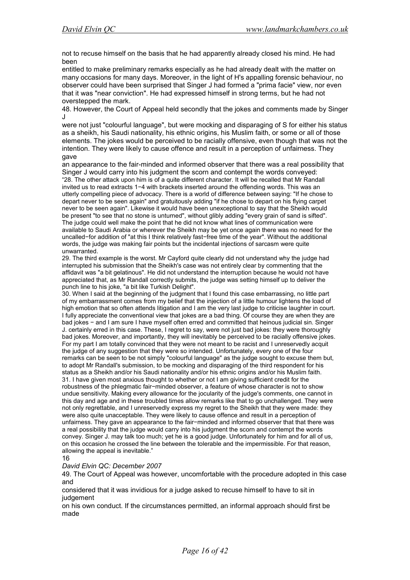not to recuse himself on the basis that he had apparently already closed his mind. He had been

entitled to make preliminary remarks especially as he had already dealt with the matter on many occasions for many days. Moreover, in the light of H's appalling forensic behaviour, no observer could have been surprised that Singer J had formed a "prima facie" view, nor even that it was "near conviction". He had expressed himself in strong terms, but he had not overstepped the mark.

48. However, the Court of Appeal held secondly that the jokes and comments made by Singer J

were not just "colourful language", but were mocking and disparaging of S for either his status as a sheikh, his Saudi nationality, his ethnic origins, his Muslim faith, or some or all of those elements. The jokes would be perceived to be racially offensive, even though that was not the intention. They were likely to cause offence and result in a perception of unfairness. They gave

an appearance to the fair-minded and informed observer that there was a real possibility that Singer J would carry into his judgment the scorn and contempt the words conveyed: "28. The other attack upon him is of a quite different character. It will be recalled that Mr Randall invited us to read extracts 1−4 with brackets inserted around the offending words. This was an utterly compelling piece of advocacy. There is a world of difference between saying: "If he chose to depart never to be seen again" and gratuitously adding "if he chose to depart on his flying carpet never to be seen again". Likewise it would have been unexceptional to say that the Sheikh would be present "to see that no stone is unturned", without glibly adding "every grain of sand is sifted". The judge could well make the point that he did not know what lines of communication were available to Saudi Arabia or wherever the Sheikh may be yet once again there was no need for the uncalled−for addition of "at this I think relatively fast−free time of the year". Without the additional words, the judge was making fair points but the incidental injections of sarcasm were quite unwarranted.

29. The third example is the worst. Mr Cayford quite clearly did not understand why the judge had interrupted his submission that the Sheikh's case was not entirely clear by commenting that the affidavit was "a bit gelatinous". He did not understand the interruption because he would not have appreciated that, as Mr Randall correctly submits, the judge was setting himself up to deliver the punch line to his joke, "a bit like Turkish Delight".

30. When I said at the beginning of the judgment that I found this case embarrassing, no little part of my embarrassment comes from my belief that the injection of a little humour lightens the load of high emotion that so often attends litigation and I am the very last judge to criticise laughter in court. I fully appreciate the conventional view that jokes are a bad thing. Of course they are when they are bad jokes − and I am sure I have myself often erred and committed that heinous judicial sin. Singer J. certainly erred in this case. These, I regret to say, were not just bad jokes: they were thoroughly bad jokes. Moreover, and importantly, they will inevitably be perceived to be racially offensive jokes. For my part I am totally convinced that they were not meant to be racist and I unreservedly acquit the judge of any suggestion that they were so intended. Unfortunately, every one of the four remarks can be seen to be not simply "colourful language" as the judge sought to excuse them but, to adopt Mr Randall's submission, to be mocking and disparaging of the third respondent for his status as a Sheikh and/or his Saudi nationality and/or his ethnic origins and/or his Muslim faith. 31. I have given most anxious thought to whether or not I am giving sufficient credit for the robustness of the phlegmatic fair−minded observer, a feature of whose character is not to show undue sensitivity. Making every allowance for the jocularity of the judge's comments, one cannot in this day and age and in these troubled times allow remarks like that to go unchallenged. They were not only regrettable, and I unreservedly express my regret to the Sheikh that they were made: they were also quite unacceptable. They were likely to cause offence and result in a perception of unfairness. They gave an appearance to the fair−minded and informed observer that that there was a real possibility that the judge would carry into his judgment the scorn and contempt the words convey. Singer J. may talk too much; yet he is a good judge. Unfortunately for him and for all of us, on this occasion he crossed the line between the tolerable and the impermissible. For that reason, allowing the appeal is inevitable."

#### 16

#### David Elvin QC: December 2007

49. The Court of Appeal was however, uncomfortable with the procedure adopted in this case and

considered that it was invidious for a judge asked to recuse himself to have to sit in judgement

on his own conduct. If the circumstances permitted, an informal approach should first be made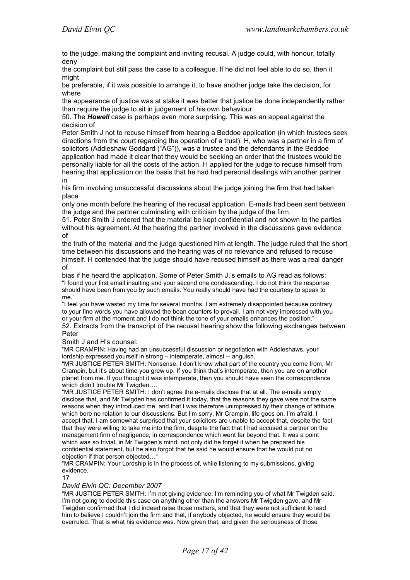to the judge, making the complaint and inviting recusal. A judge could, with honour, totally deny

the complaint but still pass the case to a colleague. If he did not feel able to do so, then it might

be preferable, if it was possible to arrange it, to have another judge take the decision, for where

the appearance of justice was at stake it was better that justice be done independently rather than require the judge to sit in judgement of his own behaviour.

50. The **Howell** case is perhaps even more surprising. This was an appeal against the decision of

Peter Smith J not to recuse himself from hearing a Beddoe application (in which trustees seek directions from the court regarding the operation of a trust). H, who was a partner in a firm of solicitors (Addleshaw Goddard ("AG")), was a trustee and the defendants in the Beddoe application had made it clear that they would be seeking an order that the trustees would be personally liable for all the costs of the action. H applied for the judge to recuse himself from hearing that application on the basis that he had had personal dealings with another partner in

his firm involving unsuccessful discussions about the judge joining the firm that had taken place

only one month before the hearing of the recusal application. E-mails had been sent between the judge and the partner culminating with criticism by the judge of the firm.

51. Peter Smith J ordered that the material be kept confidential and not shown to the parties without his agreement. At the hearing the partner involved in the discussions gave evidence of

the truth of the material and the judge questioned him at length. The judge ruled that the short time between his discussions and the hearing was of no relevance and refused to recuse himself. H contended that the judge should have recused himself as there was a real danger of

bias if he heard the application. Some of Peter Smith J.'s emails to AG read as follows: "I found your first email insulting and your second one condescending. I do not think the response should have been from you by such emails. You really should have had the courtesy to speak to me."

"I feel you have wasted my time for several months. I am extremely disappointed because contrary to your fine words you have allowed the bean counters to prevail. I am not very impressed with you or your firm at the moment and I do not think the tone of your emails enhances the position." 52. Extracts from the transcript of the recusal hearing show the following exchanges between

Peter

Smith J and H's counsel:

"MR CRAMPIN: Having had an unsuccessful discussion or negotiation with Addleshaws, your lordship expressed yourself in strong – intemperate, almost -- anguish.

"MR JUSTICE PETER SMITH: Nonsense. I don't know what part of the country you come from, Mr Crampin, but it's about time you grew up. If you think that's intemperate, then you are on another planet from me. If you thought it was intemperate, then you should have seen the correspondence which didn't trouble Mr Twigden….

"MR JUSTICE PETER SMITH: I don't agree the e-mails disclose that at all. The e-mails simply disclose that, and Mr Twigden has confirmed it today, that the reasons they gave were not the same reasons when they introduced me, and that I was therefore unimpressed by their change of attitude, which bore no relation to our discussions. But I'm sorry, Mr Crampin, life goes on, I'm afraid. I accept that. I am somewhat surprised that your solicitors are unable to accept that, despite the fact that they were willing to take me into the firm, despite the fact that I had accused a partner on the management firm of negligence, in correspondence which went far beyond that. It was a point which was so trivial, in Mr Twigden's mind, not only did he forget it when he prepared his confidential statement, but he also forgot that he said he would ensure that he would put no objection if that person objected…"

"MR CRAMPIN: Your Lordship is in the process of, while listening to my submissions, giving evidence.

17

## David Elvin QC: December 2007

"MR JUSTICE PETER SMITH: I'm not giving evidence; I'm reminding you of what Mr Twigden said. I'm not going to decide this case on anything other than the answers Mr Twigden gave, and Mr Twigden confirmed that I did indeed raise those matters, and that they were not sufficient to lead him to believe I couldn't join the firm and that, if anybody objected, he would ensure they would be overruled. That is what his evidence was. Now given that, and given the seriousness of those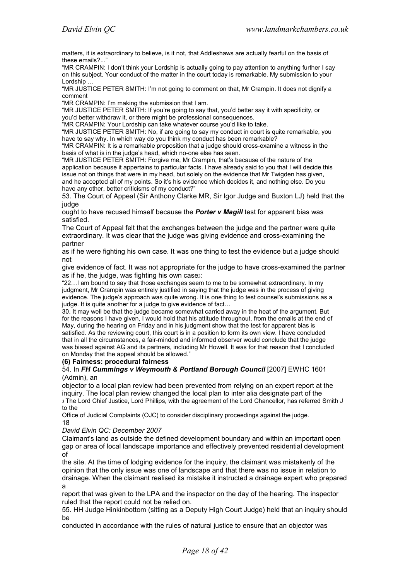matters, it is extraordinary to believe, is it not, that Addleshaws are actually fearful on the basis of these emails?..."

"MR CRAMPIN: I don't think your Lordship is actually going to pay attention to anything further I say on this subject. Your conduct of the matter in the court today is remarkable. My submission to your Lordship …

"MR JUSTICE PETER SMITH: I'm not going to comment on that, Mr Crampin. It does not dignify a comment

"MR CRAMPIN: I'm making the submission that I am.

"MR JUSTICE PETER SMITH: If you're going to say that, you'd better say it with specificity, or you'd better withdraw it, or there might be professional consequences.

"MR CRAMPIN: Your Lordship can take whatever course you'd like to take.

"MR JUSTICE PETER SMITH: No, if are going to say my conduct in court is quite remarkable, you have to say why. In which way do you think my conduct has been remarkable?

"MR CRAMPIN: It is a remarkable proposition that a judge should cross-examine a witness in the basis of what is in the judge's head, which no-one else has seen.

"MR JUSTICE PETER SMITH: Forgive me, Mr Crampin, that's because of the nature of the application because it appertains to particular facts. I have already said to you that I will decide this issue not on things that were in my head, but solely on the evidence that Mr Twigden has given, and he accepted all of my points. So it's his evidence which decides it, and nothing else. Do you have any other, better criticisms of my conduct?"

53. The Court of Appeal (Sir Anthony Clarke MR, Sir Igor Judge and Buxton LJ) held that the judge

ought to have recused himself because the **Porter v Magill** test for apparent bias was satisfied.

The Court of Appeal felt that the exchanges between the judge and the partner were quite extraordinary. It was clear that the judge was giving evidence and cross-examining the partner

as if he were fighting his own case. It was one thing to test the evidence but a judge should not

give evidence of fact. It was not appropriate for the judge to have cross-examined the partner as if he, the judge, was fighting his own case3:

"22…I am bound to say that those exchanges seem to me to be somewhat extraordinary. In my judgment, Mr Crampin was entirely justified in saying that the judge was in the process of giving evidence. The judge's approach was quite wrong. It is one thing to test counsel's submissions as a judge. It is quite another for a judge to give evidence of fact…

30. It may well be that the judge became somewhat carried away in the heat of the argument. But for the reasons I have given, I would hold that his attitude throughout, from the emails at the end of May, during the hearing on Friday and in his judgment show that the test for apparent bias is satisfied. As the reviewing court, this court is in a position to form its own view. I have concluded that in all the circumstances, a fair-minded and informed observer would conclude that the judge was biased against AG and its partners, including Mr Howell. It was for that reason that I concluded on Monday that the appeal should be allowed."

#### (6) Fairness: procedural fairness

54. In FH Cummings v Weymouth & Portland Borough Council [2007] EWHC 1601 (Admin), an

objector to a local plan review had been prevented from relying on an expert report at the inquiry. The local plan review changed the local plan to inter alia designate part of the 3 The Lord Chief Justice, Lord Phillips, with the agreement of the Lord Chancellor, has referred Smith J to the

Office of Judicial Complaints (OJC) to consider disciplinary proceedings against the judge. 18

#### David Elvin QC: December 2007

Claimant's land as outside the defined development boundary and within an important open gap or area of local landscape importance and effectively prevented residential development of

the site. At the time of lodging evidence for the inquiry, the claimant was mistakenly of the opinion that the only issue was one of landscape and that there was no issue in relation to drainage. When the claimant realised its mistake it instructed a drainage expert who prepared a

report that was given to the LPA and the inspector on the day of the hearing. The inspector ruled that the report could not be relied on.

55. HH Judge Hinkinbottom (sitting as a Deputy High Court Judge) held that an inquiry should be

conducted in accordance with the rules of natural justice to ensure that an objector was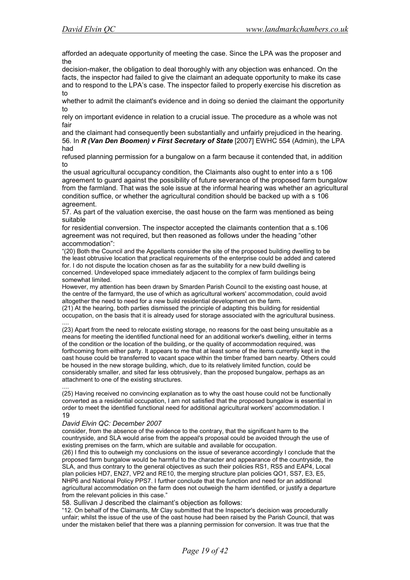afforded an adequate opportunity of meeting the case. Since the LPA was the proposer and the

decision-maker, the obligation to deal thoroughly with any objection was enhanced. On the facts, the inspector had failed to give the claimant an adequate opportunity to make its case and to respond to the LPA's case. The inspector failed to properly exercise his discretion as to

whether to admit the claimant's evidence and in doing so denied the claimant the opportunity to

rely on important evidence in relation to a crucial issue. The procedure as a whole was not fair

and the claimant had consequently been substantially and unfairly prejudiced in the hearing. 56. In R (Van Den Boomen) v First Secretary of State [2007] EWHC 554 (Admin), the LPA had

refused planning permission for a bungalow on a farm because it contended that, in addition to

the usual agricultural occupancy condition, the Claimants also ought to enter into a s 106 agreement to guard against the possibility of future severance of the proposed farm bungalow from the farmland. That was the sole issue at the informal hearing was whether an agricultural condition suffice, or whether the agricultural condition should be backed up with a s 106 agreement.

57. As part of the valuation exercise, the oast house on the farm was mentioned as being suitable

for residential conversion. The inspector accepted the claimants contention that a s.106 agreement was not required, but then reasoned as follows under the heading "other accommodation":

"(20) Both the Council and the Appellants consider the site of the proposed building dwelling to be the least obtrusive location that practical requirements of the enterprise could be added and catered for. I do not dispute the location chosen as far as the suitability for a new build dwelling is concerned. Undeveloped space immediately adjacent to the complex of farm buildings being somewhat limited.

However, my attention has been drawn by Smarden Parish Council to the existing oast house, at the centre of the farmyard, the use of which as agricultural workers' accommodation, could avoid altogether the need to need for a new build residential development on the farm.

(21) At the hearing, both parties dismissed the principle of adapting this building for residential occupation, on the basis that it is already used for storage associated with the agricultural business. ....

(23) Apart from the need to relocate existing storage, no reasons for the oast being unsuitable as a means for meeting the identified functional need for an additional worker's dwelling, either in terms of the condition or the location of the building, or the quality of accommodation required, was forthcoming from either party. It appears to me that at least some of the items currently kept in the oast house could be transferred to vacant space within the timber framed barn nearby. Others could be housed in the new storage building, which, due to its relatively limited function, could be considerably smaller, and sited far less obtrusively, than the proposed bungalow, perhaps as an attachment to one of the existing structures.

.... (25) Having received no convincing explanation as to why the oast house could not be functionally converted as a residential occupation, I am not satisfied that the proposed bungalow is essential in order to meet the identified functional need for additional agricultural workers' accommodation. I 19

## David Elvin QC: December 2007

consider, from the absence of the evidence to the contrary, that the significant harm to the countryside, and SLA would arise from the appeal's proposal could be avoided through the use of existing premises on the farm, which are suitable and available for occupation.

(26) I find this to outweigh my conclusions on the issue of severance accordingly I conclude that the proposed farm bungalow would be harmful to the character and appearance of the countryside, the SLA, and thus contrary to the general objectives as such their policies RS1, RS5 and EAP4, Local plan policies HD7, EN27, VP2 and RE10, the merging structure plan policies QO1, SS7, E3, E5, NHP6 and National Policy PPS7. I further conclude that the function and need for an additional agricultural accommodation on the farm does not outweigh the harm identified, or justify a departure from the relevant policies in this case."

58. Sullivan J described the claimant's objection as follows:

"12. On behalf of the Claimants, Mr Clay submitted that the Inspector's decision was procedurally unfair; whilst the issue of the use of the oast house had been raised by the Parish Council, that was under the mistaken belief that there was a planning permission for conversion. It was true that the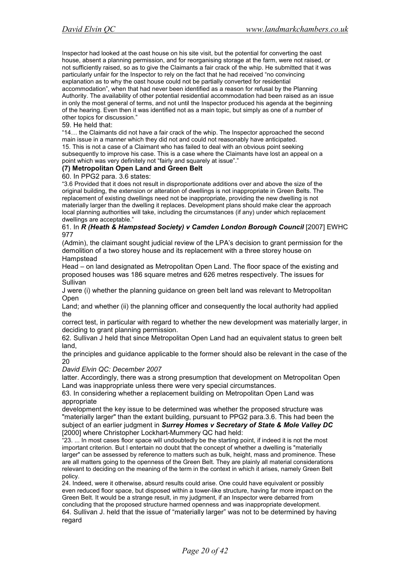Inspector had looked at the oast house on his site visit, but the potential for converting the oast house, absent a planning permission, and for reorganising storage at the farm, were not raised, or not sufficiently raised, so as to give the Claimants a fair crack of the whip. He submitted that it was particularly unfair for the Inspector to rely on the fact that he had received "no convincing explanation as to why the oast house could not be partially converted for residential accommodation", when that had never been identified as a reason for refusal by the Planning Authority. The availability of other potential residential accommodation had been raised as an issue in only the most general of terms, and not until the Inspector produced his agenda at the beginning of the hearing. Even then it was identified not as a main topic, but simply as one of a number of other topics for discussion."

#### 59. He held that:

"14… the Claimants did not have a fair crack of the whip. The Inspector approached the second main issue in a manner which they did not and could not reasonably have anticipated. 15. This is not a case of a Claimant who has failed to deal with an obvious point seeking subsequently to improve his case. This is a case where the Claimants have lost an appeal on a point which was very definitely not "fairly and squarely at issue"."

## (7) Metropolitan Open Land and Green Belt

#### 60. In PPG2 para. 3.6 states:

"3.6 Provided that it does not result in disproportionate additions over and above the size of the original building, the extension or alteration of dwellings is not inappropriate in Green Belts. The replacement of existing dwellings need not be inappropriate, providing the new dwelling is not materially larger than the dwelling it replaces. Development plans should make clear the approach local planning authorities will take, including the circumstances (if any) under which replacement dwellings are acceptable."

#### 61. In R (Heath & Hampstead Society) v Camden London Borough Council [2007] EWHC **977**

(Admin), the claimant sought judicial review of the LPA's decision to grant permission for the demolition of a two storey house and its replacement with a three storey house on Hampstead

Head – on land designated as Metropolitan Open Land. The floor space of the existing and proposed houses was 186 square metres and 626 metres respectively. The issues for Sullivan

J were (i) whether the planning guidance on green belt land was relevant to Metropolitan Open

Land; and whether (ii) the planning officer and consequently the local authority had applied the

correct test, in particular with regard to whether the new development was materially larger, in deciding to grant planning permission.

62. Sullivan J held that since Metropolitan Open Land had an equivalent status to green belt land,

the principles and guidance applicable to the former should also be relevant in the case of the 20

#### David Elvin QC: December 2007

latter. Accordingly, there was a strong presumption that development on Metropolitan Open Land was inappropriate unless there were very special circumstances.

63. In considering whether a replacement building on Metropolitan Open Land was appropriate

development the key issue to be determined was whether the proposed structure was "materially larger" than the extant building, pursuant to PPG2 para.3.6. This had been the subject of an earlier judgment in Surrey Homes v Secretary of State & Mole Valley DC [2000] where Christopher Lockhart-Mummery QC had held:

"23. ... In most cases floor space will undoubtedly be the starting point, if indeed it is not the most important criterion. But I entertain no doubt that the concept of whether a dwelling is "materially larger" can be assessed by reference to matters such as bulk, height, mass and prominence. These are all matters going to the openness of the Green Belt. They are plainly all material considerations relevant to deciding on the meaning of the term in the context in which it arises, namely Green Belt policy.

24. Indeed, were it otherwise, absurd results could arise. One could have equivalent or possibly even reduced floor space, but disposed within a tower-like structure, having far more impact on the Green Belt. It would be a strange result, in my judgment, if an Inspector were debarred from concluding that the proposed structure harmed openness and was inappropriate development. 64. Sullivan J. held that the issue of "materially larger" was not to be determined by having regard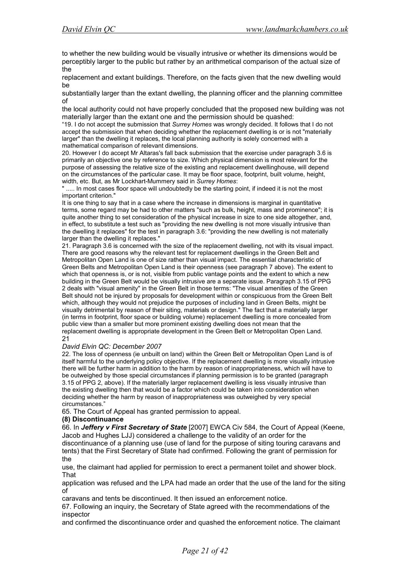to whether the new building would be visually intrusive or whether its dimensions would be perceptibly larger to the public but rather by an arithmetical comparison of the actual size of the

replacement and extant buildings. Therefore, on the facts given that the new dwelling would be

substantially larger than the extant dwelling, the planning officer and the planning committee of

the local authority could not have properly concluded that the proposed new building was not materially larger than the extant one and the permission should be quashed:

"19. I do not accept the submission that Surrey Homes was wrongly decided. It follows that I do not accept the submission that when deciding whether the replacement dwelling is or is not "materially larger" than the dwelling it replaces, the local planning authority is solely concerned with a mathematical comparison of relevant dimensions.

20. However I do accept Mr Altaras's fall back submission that the exercise under paragraph 3.6 is primarily an objective one by reference to size. Which physical dimension is most relevant for the purpose of assessing the relative size of the existing and replacement dwellinghouse, will depend on the circumstances of the particular case. It may be floor space, footprint, built volume, height, width, etc. But, as Mr Lockhart-Mummery said in Surrey Homes:

" ..... In most cases floor space will undoubtedly be the starting point, if indeed it is not the most important criterion."

It is one thing to say that in a case where the increase in dimensions is marginal in quantitative terms, some regard may be had to other matters "such as bulk, height, mass and prominence"; it is quite another thing to set consideration of the physical increase in size to one side altogether, and, in effect, to substitute a test such as "providing the new dwelling is not more visually intrusive than the dwelling it replaces" for the test in paragraph 3.6: "providing the new dwelling is not materially larger than the dwelling it replaces."

21. Paragraph 3.6 is concerned with the size of the replacement dwelling, not with its visual impact. There are good reasons why the relevant test for replacement dwellings in the Green Belt and Metropolitan Open Land is one of size rather than visual impact. The essential characteristic of Green Belts and Metropolitan Open Land is their openness (see paragraph 7 above). The extent to which that openness is, or is not, visible from public vantage points and the extent to which a new building in the Green Belt would be visually intrusive are a separate issue. Paragraph 3.15 of PPG 2 deals with "visual amenity" in the Green Belt in those terms: "The visual amenities of the Green Belt should not be injured by proposals for development within or conspicuous from the Green Belt which, although they would not prejudice the purposes of including land in Green Belts, might be visually detrimental by reason of their siting, materials or design." The fact that a materially larger (in terms in footprint, floor space or building volume) replacement dwelling is more concealed from public view than a smaller but more prominent existing dwelling does not mean that the replacement dwelling is appropriate development in the Green Belt or Metropolitan Open Land. 21

#### David Elvin QC: December 2007

22. The loss of openness (ie unbuilt on land) within the Green Belt or Metropolitan Open Land is of itself harmful to the underlying policy objective. If the replacement dwelling is more visually intrusive there will be further harm in addition to the harm by reason of inappropriateness, which will have to be outweighed by those special circumstances if planning permission is to be granted (paragraph 3.15 of PPG 2, above). If the materially larger replacement dwelling is less visually intrusive than the existing dwelling then that would be a factor which could be taken into consideration when deciding whether the harm by reason of inappropriateness was outweighed by very special circumstances."

65. The Court of Appeal has granted permission to appeal.

## (8) Discontinuance

66. In Jeffery v First Secretary of State [2007] EWCA Civ 584, the Court of Appeal (Keene, Jacob and Hughes LJJ) considered a challenge to the validity of an order for the discontinuance of a planning use (use of land for the purpose of siting touring caravans and tents) that the First Secretary of State had confirmed. Following the grant of permission for the

use, the claimant had applied for permission to erect a permanent toilet and shower block. That

application was refused and the LPA had made an order that the use of the land for the siting of

caravans and tents be discontinued. It then issued an enforcement notice.

67. Following an inquiry, the Secretary of State agreed with the recommendations of the inspector

and confirmed the discontinuance order and quashed the enforcement notice. The claimant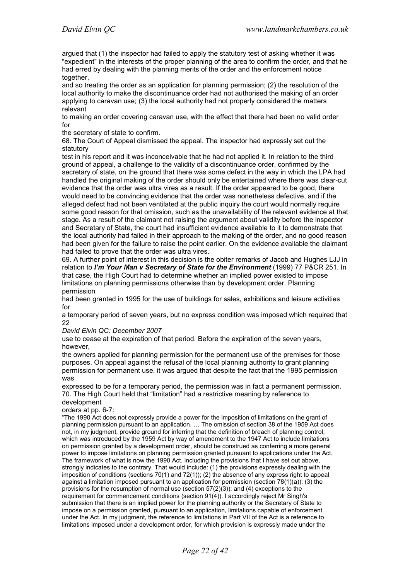argued that (1) the inspector had failed to apply the statutory test of asking whether it was "expedient" in the interests of the proper planning of the area to confirm the order, and that he had erred by dealing with the planning merits of the order and the enforcement notice together,

and so treating the order as an application for planning permission; (2) the resolution of the local authority to make the discontinuance order had not authorised the making of an order applying to caravan use; (3) the local authority had not properly considered the matters relevant

to making an order covering caravan use, with the effect that there had been no valid order for

the secretary of state to confirm.

68. The Court of Appeal dismissed the appeal. The inspector had expressly set out the statutory

test in his report and it was inconceivable that he had not applied it. In relation to the third ground of appeal, a challenge to the validity of a discontinuance order, confirmed by the secretary of state, on the ground that there was some defect in the way in which the LPA had handled the original making of the order should only be entertained where there was clear-cut evidence that the order was ultra vires as a result. If the order appeared to be good, there would need to be convincing evidence that the order was nonetheless defective, and if the alleged defect had not been ventilated at the public inquiry the court would normally require some good reason for that omission, such as the unavailability of the relevant evidence at that stage. As a result of the claimant not raising the argument about validity before the inspector and Secretary of State, the court had insufficient evidence available to it to demonstrate that the local authority had failed in their approach to the making of the order, and no good reason had been given for the failure to raise the point earlier. On the evidence available the claimant had failed to prove that the order was ultra vires.

69. A further point of interest in this decision is the obiter remarks of Jacob and Hughes LJJ in relation to I'm Your Man v Secretary of State for the Environment (1999) 77 P&CR 251. In that case, the High Court had to determine whether an implied power existed to impose limitations on planning permissions otherwise than by development order. Planning permission

had been granted in 1995 for the use of buildings for sales, exhibitions and leisure activities for

a temporary period of seven years, but no express condition was imposed which required that 22

## David Elvin QC: December 2007

use to cease at the expiration of that period. Before the expiration of the seven years, however,

the owners applied for planning permission for the permanent use of the premises for those purposes. On appeal against the refusal of the local planning authority to grant planning permission for permanent use, it was argued that despite the fact that the 1995 permission was

expressed to be for a temporary period, the permission was in fact a permanent permission. 70. The High Court held that "limitation" had a restrictive meaning by reference to development

#### orders at pp. 6-7:

"The 1990 Act does not expressly provide a power for the imposition of limitations on the grant of planning permission pursuant to an application. … The omission of section 38 of the 1959 Act does not, in my judgment, provide ground for inferring that the definition of breach of planning control, which was introduced by the 1959 Act by way of amendment to the 1947 Act to include limitations on permission granted by a development order, should be construed as conferring a more general power to impose limitations on planning permission granted pursuant to applications under the Act. The framework of what is now the 1990 Act, including the provisions that I have set out above, strongly indicates to the contrary. That would include: (1) the provisions expressly dealing with the imposition of conditions (sections 70(1) and 72(1)); (2) the absence of any express right to appeal against a limitation imposed pursuant to an application for permission (section 78(1)(a)); (3) the provisions for the resumption of normal use (section  $57(2)(3)$ ); and (4) exceptions to the requirement for commencement conditions (section 91(4)). I accordingly reject Mr Singh's submission that there is an implied power for the planning authority or the Secretary of State to impose on a permission granted, pursuant to an application, limitations capable of enforcement under the Act. In my judgment, the reference to limitations in Part VII of the Act is a reference to limitations imposed under a development order, for which provision is expressly made under the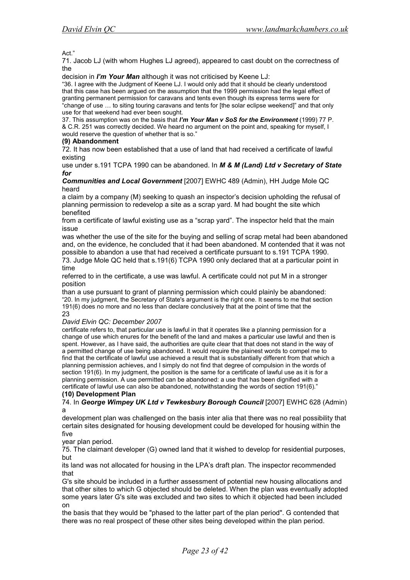Act."

71. Jacob LJ (with whom Hughes LJ agreed), appeared to cast doubt on the correctness of the

decision in I'm Your Man although it was not criticised by Keene LJ:

"36. I agree with the Judgment of Keene LJ. I would only add that it should be clearly understood that this case has been argued on the assumption that the 1999 permission had the legal effect of granting permanent permission for caravans and tents even though its express terms were for "change of use … to siting touring caravans and tents for [the solar eclipse weekend]" and that only use for that weekend had ever been sought.

37. This assumption was on the basis that I'm Your Man v SoS for the Environment (1999) 77 P. & C.R. 251 was correctly decided. We heard no argument on the point and, speaking for myself, I would reserve the question of whether that is so."

## (9) Abandonment

72. It has now been established that a use of land that had received a certificate of lawful existing

use under s.191 TCPA 1990 can be abandoned. In M & M (Land) Ltd v Secretary of State for

Communities and Local Government [2007] EWHC 489 (Admin), HH Judge Mole QC heard

a claim by a company (M) seeking to quash an inspector's decision upholding the refusal of planning permission to redevelop a site as a scrap yard. M had bought the site which benefited

from a certificate of lawful existing use as a "scrap yard". The inspector held that the main issue

was whether the use of the site for the buying and selling of scrap metal had been abandoned and, on the evidence, he concluded that it had been abandoned. M contended that it was not possible to abandon a use that had received a certificate pursuant to s.191 TCPA 1990. 73. Judge Mole QC held that s.191(6) TCPA 1990 only declared that at a particular point in time

referred to in the certificate, a use was lawful. A certificate could not put M in a stronger position

than a use pursuant to grant of planning permission which could plainly be abandoned: "20. In my judgment, the Secretary of State's argument is the right one. It seems to me that section 191(6) does no more and no less than declare conclusively that at the point of time that the 23

#### David Elvin QC: December 2007

certificate refers to, that particular use is lawful in that it operates like a planning permission for a change of use which enures for the benefit of the land and makes a particular use lawful and then is spent. However, as I have said, the authorities are quite clear that that does not stand in the way of a permitted change of use being abandoned. It would require the plainest words to compel me to find that the certificate of lawful use achieved a result that is substantially different from that which a planning permission achieves, and I simply do not find that degree of compulsion in the words of section 191(6). In my judgment, the position is the same for a certificate of lawful use as it is for a planning permission. A use permitted can be abandoned: a use that has been dignified with a certificate of lawful use can also be abandoned, notwithstanding the words of section 191(6)."

#### (10) Development Plan

74. In George Wimpey UK Ltd v Tewkesbury Borough Council [2007] EWHC 628 (Admin) a

development plan was challenged on the basis inter alia that there was no real possibility that certain sites designated for housing development could be developed for housing within the five

year plan period.

75. The claimant developer (G) owned land that it wished to develop for residential purposes, but

its land was not allocated for housing in the LPA's draft plan. The inspector recommended that

G's site should be included in a further assessment of potential new housing allocations and that other sites to which G objected should be deleted. When the plan was eventually adopted some years later G's site was excluded and two sites to which it objected had been included on

the basis that they would be "phased to the latter part of the plan period". G contended that there was no real prospect of these other sites being developed within the plan period.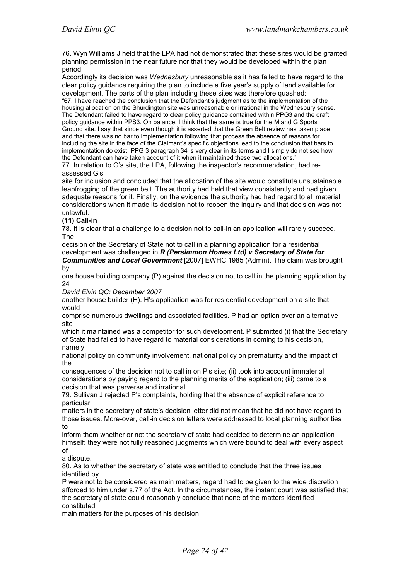76. Wyn Williams J held that the LPA had not demonstrated that these sites would be granted planning permission in the near future nor that they would be developed within the plan period.

Accordingly its decision was Wednesbury unreasonable as it has failed to have regard to the clear policy guidance requiring the plan to include a five year's supply of land available for development. The parts of the plan including these sites was therefore quashed:

"67. I have reached the conclusion that the Defendant's judgment as to the implementation of the housing allocation on the Shurdington site was unreasonable or irrational in the Wednesbury sense. The Defendant failed to have regard to clear policy guidance contained within PPG3 and the draft policy guidance within PPS3. On balance, I think that the same is true for the M and G Sports Ground site. I say that since even though it is asserted that the Green Belt review has taken place and that there was no bar to implementation following that process the absence of reasons for including the site in the face of the Claimant's specific objections lead to the conclusion that bars to implementation do exist. PPG 3 paragraph 34 is very clear in its terms and I simply do not see how the Defendant can have taken account of it when it maintained these two allocations."

77. In relation to G's site, the LPA, following the inspector's recommendation, had reassessed G's

site for inclusion and concluded that the allocation of the site would constitute unsustainable leapfrogging of the green belt. The authority had held that view consistently and had given adequate reasons for it. Finally, on the evidence the authority had had regard to all material considerations when it made its decision not to reopen the inquiry and that decision was not unlawful.

## (11) Call-in

78. It is clear that a challenge to a decision not to call-in an application will rarely succeed. The

decision of the Secretary of State not to call in a planning application for a residential development was challenged in R (Persimmon Homes Ltd) v Secretary of State for

Communities and Local Government [2007] EWHC 1985 (Admin). The claim was brought by

one house building company (P) against the decision not to call in the planning application by 24

David Elvin QC: December 2007

another house builder (H). H's application was for residential development on a site that would

comprise numerous dwellings and associated facilities. P had an option over an alternative site

which it maintained was a competitor for such development. P submitted (i) that the Secretary of State had failed to have regard to material considerations in coming to his decision, namely,

national policy on community involvement, national policy on prematurity and the impact of the

consequences of the decision not to call in on P's site; (ii) took into account immaterial considerations by paying regard to the planning merits of the application; (iii) came to a decision that was perverse and irrational.

79. Sullivan J rejected P's complaints, holding that the absence of explicit reference to particular

matters in the secretary of state's decision letter did not mean that he did not have regard to those issues. More-over, call-in decision letters were addressed to local planning authorities to

inform them whether or not the secretary of state had decided to determine an application himself: they were not fully reasoned judgments which were bound to deal with every aspect of

a dispute.

80. As to whether the secretary of state was entitled to conclude that the three issues identified by

P were not to be considered as main matters, regard had to be given to the wide discretion afforded to him under s.77 of the Act. In the circumstances, the instant court was satisfied that the secretary of state could reasonably conclude that none of the matters identified constituted

main matters for the purposes of his decision.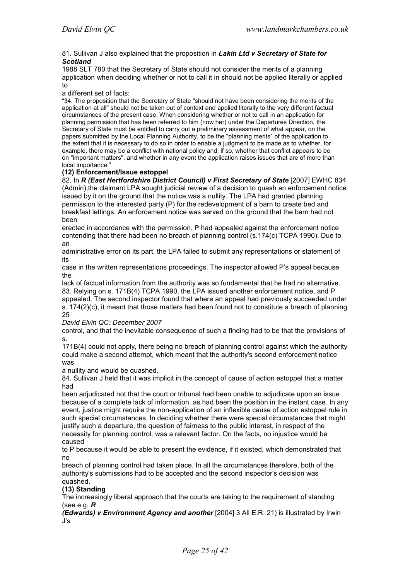## 81. Sullivan J also explained that the proposition in Lakin Ltd v Secretary of State for **Scotland**

1988 SLT 780 that the Secretary of State should not consider the merits of a planning application when deciding whether or not to call it in should not be applied literally or applied to

a different set of facts:

"34. The proposition that the Secretary of State "should not have been considering the merits of the application at all" should not be taken out of context and applied literally to the very different factual circumstances of the present case. When considering whether or not to call in an application for planning permission that has been referred to him (now her) under the Departures Direction, the Secretary of State must be entitled to carry out a preliminary assessment of what appear, on the papers submitted by the Local Planning Authority, to be the "planning merits" of the application to the extent that it is necessary to do so in order to enable a judgment to be made as to whether, for example, there may be a conflict with national policy and, if so, whether that conflict appears to be on "important matters", and whether in any event the application raises issues that are of more than local importance."

## (12) Enforcement/Issue estoppel

82. In R (East Hertfordshire District Council) v First Secretary of State [2007] EWHC 834 (Admin),the claimant LPA sought judicial review of a decision to quash an enforcement notice issued by it on the ground that the notice was a nullity. The LPA had granted planning permission to the interested party (P) for the redevelopment of a barn to create bed and breakfast lettings. An enforcement notice was served on the ground that the barn had not been

erected in accordance with the permission. P had appealed against the enforcement notice contending that there had been no breach of planning control (s.174(c) TCPA 1990). Due to an

administrative error on its part, the LPA failed to submit any representations or statement of its

case in the written representations proceedings. The inspector allowed P's appeal because the

lack of factual information from the authority was so fundamental that he had no alternative. 83. Relying on s. 171B(4) TCPA 1990, the LPA issued another enforcement notice, and P appealed. The second inspector found that where an appeal had previously succeeded under s. 174(2)(c), it meant that those matters had been found not to constitute a breach of planning 25

#### David Elvin QC: December 2007

control, and that the inevitable consequence of such a finding had to be that the provisions of s.

171B(4) could not apply, there being no breach of planning control against which the authority could make a second attempt, which meant that the authority's second enforcement notice was

a nullity and would be quashed.

84. Sullivan J held that it was implicit in the concept of cause of action estoppel that a matter had

been adjudicated not that the court or tribunal had been unable to adjudicate upon an issue because of a complete lack of information, as had been the position in the instant case. In any event, justice might require the non-application of an inflexible cause of action estoppel rule in such special circumstances. In deciding whether there were special circumstances that might justify such a departure, the question of fairness to the public interest, in respect of the necessity for planning control, was a relevant factor. On the facts, no injustice would be caused

to P because it would be able to present the evidence, if it existed, which demonstrated that no

breach of planning control had taken place. In all the circumstances therefore, both of the authority's submissions had to be accepted and the second inspector's decision was quashed.

## (13) Standing

The increasingly liberal approach that the courts are taking to the requirement of standing (see e.g.  $R$ 

(Edwards) v Environment Agency and another [2004] 3 All E.R. 21) is illustrated by Irwin J's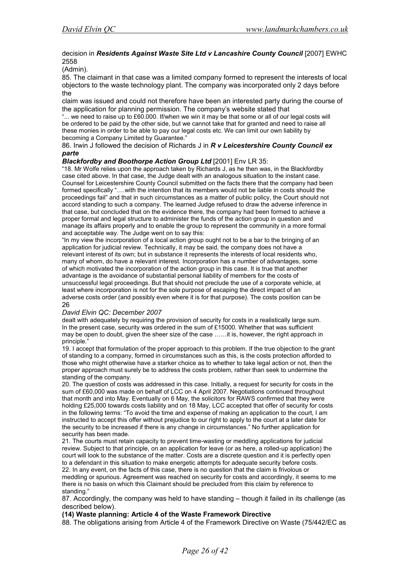## decision in Residents Against Waste Site Ltd v Lancashire County Council [2007] EWHC 2558

(Admin).

85. The claimant in that case was a limited company formed to represent the interests of local objectors to the waste technology plant. The company was incorporated only 2 days before the

claim was issued and could not therefore have been an interested party during the course of the application for planning permission. The company's website stated that

"... we need to raise up to £60.000. If/when we win it may be that some or all of our legal costs will be ordered to be paid by the other side, but we cannot take that for granted and need to raise all these monies in order to be able to pay our legal costs etc. We can limit our own liability by becoming a Company Limited by Guarantee."

86. Irwin J followed the decision of Richards J in R v Leicestershire County Council ex parte

## Blackfordby and Boothorpe Action Group Ltd [2001] Env LR 35:

"18. Mr Wolfe relies upon the approach taken by Richards J, as he then was, in the Blackfordby case cited above. In that case, the Judge dealt with an analogous situation to the instant case. Counsel for Leicestershire County Council submitted on the facts there that the company had been formed specifically "….with the intention that its members would not be liable in costs should the proceedings fail" and that in such circumstances as a matter of public policy, the Court should not accord standing to such a company. The learned Judge refused to draw the adverse inference in that case, but concluded that on the evidence there, the company had been formed to achieve a proper formal and legal structure to administer the funds of the action group in question and manage its affairs properly and to enable the group to represent the community in a more formal and acceptable way. The Judge went on to say this:

"In my view the incorporation of a local action group ought not to be a bar to the bringing of an application for judicial review. Technically, it may be said, the company does not have a relevant interest of its own; but in substance it represents the interests of local residents who, many of whom, do have a relevant interest. Incorporation has a number of advantages, some of which motivated the incorporation of the action group in this case. It is true that another advantage is the avoidance of substantial personal liability of members for the costs of unsuccessful legal proceedings. But that should not preclude the use of a corporate vehicle, at least where incorporation is not for the sole purpose of escaping the direct impact of an adverse costs order (and possibly even where it is for that purpose). The costs position can be 26

#### David Elvin QC: December 2007

dealt with adequately by requiring the provision of security for costs in a realistically large sum. In the present case, security was ordered in the sum of £15000. Whether that was sufficient may be open to doubt, given the sheer size of the case ……it is, however, the right approach in principle."

19. I accept that formulation of the proper approach to this problem. If the true objection to the grant of standing to a company, formed in circumstances such as this, is the costs protection afforded to those who might otherwise have a starker choice as to whether to take legal action or not, then the proper approach must surely be to address the costs problem, rather than seek to undermine the standing of the company.

20. The question of costs was addressed in this case. Initially, a request for security for costs in the sum of £60,000 was made on behalf of LCC on 4 April 2007. Negotiations continued throughout that month and into May. Eventually on 6 May, the solicitors for RAWS confirmed that they were holding £25,000 towards costs liability and on 18 May, LCC accepted that offer of security for costs in the following terms: "To avoid the time and expense of making an application to the court, I am instructed to accept this offer without prejudice to our right to apply to the court at a later date for the security to be increased if there is any change in circumstances." No further application for security has been made.

21. The courts must retain capacity to prevent time-wasting or meddling applications for judicial review. Subject to that principle, on an application for leave (or as here, a rolled-up application) the court will look to the substance of the matter. Costs are a discrete question and it is perfectly open to a defendant in this situation to make energetic attempts for adequate security before costs. 22. In any event, on the facts of this case, there is no question that the claim is frivolous or meddling or spurious. Agreement was reached on security for costs and accordingly, it seems to me

there is no basis on which this Claimant should be precluded from this claim by reference to standing.<sup>"</sup>

87. Accordingly, the company was held to have standing – though it failed in its challenge (as described below).

#### (14) Waste planning: Article 4 of the Waste Framework Directive

88. The obligations arising from Article 4 of the Framework Directive on Waste (75/442/EC as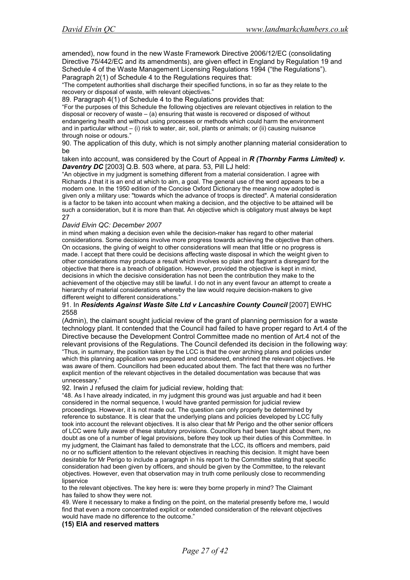amended), now found in the new Waste Framework Directive 2006/12/EC (consolidating Directive 75/442/EC and its amendments), are given effect in England by Regulation 19 and Schedule 4 of the Waste Management Licensing Regulations 1994 ("the Regulations"). Paragraph 2(1) of Schedule 4 to the Regulations requires that:

"The competent authorities shall discharge their specified functions, in so far as they relate to the recovery or disposal of waste, with relevant objectives."

89. Paragraph 4(1) of Schedule 4 to the Regulations provides that:

"For the purposes of this Schedule the following objectives are relevant objectives in relation to the disposal or recovery of waste – (a) ensuring that waste is recovered or disposed of without endangering health and without using processes or methods which could harm the environment and in particular without – (i) risk to water, air, soil, plants or animals; or (ii) causing nuisance through noise or odours."

90. The application of this duty, which is not simply another planning material consideration to be

taken into account, was considered by the Court of Appeal in R (Thornby Farms Limited) v. Daventry DC [2003] Q.B. 503 where, at para. 53, Pill LJ held:

"An objective in my judgment is something different from a material consideration. I agree with Richards J that it is an end at which to aim, a goal. The general use of the word appears to be a modern one. In the 1950 edition of the Concise Oxford Dictionary the meaning now adopted is given only a military use: "towards which the advance of troops is directed". A material consideration is a factor to be taken into account when making a decision, and the objective to be attained will be such a consideration, but it is more than that. An objective which is obligatory must always be kept 27

#### David Elvin QC: December 2007

in mind when making a decision even while the decision-maker has regard to other material considerations. Some decisions involve more progress towards achieving the objective than others. On occasions, the giving of weight to other considerations will mean that little or no progress is made. I accept that there could be decisions affecting waste disposal in which the weight given to other considerations may produce a result which involves so plain and flagrant a disregard for the objective that there is a breach of obligation. However, provided the objective is kept in mind, decisions in which the decisive consideration has not been the contribution they make to the achievement of the objective may still be lawful. I do not in any event favour an attempt to create a hierarchy of material considerations whereby the law would require decision-makers to give different weight to different considerations."

#### 91. In Residents Against Waste Site Ltd v Lancashire County Council [2007] EWHC 2558

(Admin), the claimant sought judicial review of the grant of planning permission for a waste technology plant. It contended that the Council had failed to have proper regard to Art.4 of the Directive because the Development Control Committee made no mention of Art.4 not of the relevant provisions of the Regulations. The Council defended its decision in the following way: "Thus, in summary, the position taken by the LCC is that the over arching plans and policies under which this planning application was prepared and considered, enshrined the relevant objectives. He was aware of them. Councillors had been educated about them. The fact that there was no further explicit mention of the relevant objectives in the detailed documentation was because that was unnecessary."

92. Irwin J refused the claim for judicial review, holding that:

"48. As I have already indicated, in my judgment this ground was just arguable and had it been considered in the normal sequence, I would have granted permission for judicial review proceedings. However, it is not made out. The question can only properly be determined by reference to substance. It is clear that the underlying plans and policies developed by LCC fully took into account the relevant objectives. It is also clear that Mr Perigo and the other senior officers of LCC were fully aware of these statutory provisions. Councillors had been taught about them, no doubt as one of a number of legal provisions, before they took up their duties of this Committee. In my judgment, the Claimant has failed to demonstrate that the LCC, its officers and members, paid no or no sufficient attention to the relevant objectives in reaching this decision. It might have been desirable for Mr Perigo to include a paragraph in his report to the Committee stating that specific consideration had been given by officers, and should be given by the Committee, to the relevant objectives. However, even that observation may in truth come perilously close to recommending lipservice

to the relevant objectives. The key here is: were they borne properly in mind? The Claimant has failed to show they were not.

49. Were it necessary to make a finding on the point, on the material presently before me, I would find that even a more concentrated explicit or extended consideration of the relevant objectives would have made no difference to the outcome."

(15) EIA and reserved matters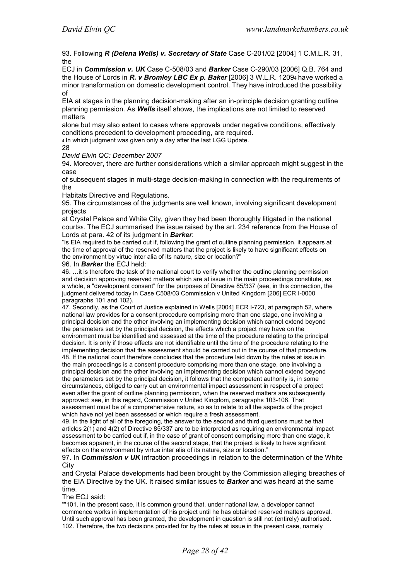93. Following R (Delena Wells) v. Secretary of State Case C-201/02 [2004] 1 C.M.L.R. 31, the

ECJ in Commission v. UK Case C-508/03 and Barker Case C-290/03 [2006] Q.B. 764 and the House of Lords in  $R$ . v Bromley LBC Ex p. Baker [2006] 3 W.L.R. 12094 have worked a minor transformation on domestic development control. They have introduced the possibility of

EIA at stages in the planning decision-making after an in-principle decision granting outline planning permission. As **Wells** itself shows, the implications are not limited to reserved matters

alone but may also extent to cases where approvals under negative conditions, effectively conditions precedent to development proceeding, are required.

4 In which judgment was given only a day after the last LGG Update.

28

David Elvin QC: December 2007

94. Moreover, there are further considerations which a similar approach might suggest in the case

of subsequent stages in multi-stage decision-making in connection with the requirements of the

Habitats Directive and Regulations.

95. The circumstances of the judgments are well known, involving significant development projects

at Crystal Palace and White City, given they had been thoroughly litigated in the national courts5. The ECJ summarised the issue raised by the art. 234 reference from the House of Lords at para. 42 of its judgment in Barker:

"Is EIA required to be carried out if, following the grant of outline planning permission, it appears at the time of approval of the reserved matters that the project is likely to have significant effects on the environment by virtue inter alia of its nature, size or location?"

#### 96. In **Barker** the ECJ held:

46. …it is therefore the task of the national court to verify whether the outline planning permission and decision approving reserved matters which are at issue in the main proceedings constitute, as a whole, a "development consent" for the purposes of Directive 85/337 (see, in this connection, the judgment delivered today in Case C508/03 Commission v United Kingdom [206] ECR I-0000 paragraphs 101 and 102).

47. Secondly, as the Court of Justice explained in Wells [2004] ECR I-723, at paragraph 52, where national law provides for a consent procedure comprising more than one stage, one involving a principal decision and the other involving an implementing decision which cannot extend beyond the parameters set by the principal decision, the effects which a project may have on the environment must be identified and assessed at the time of the procedure relating to the principal decision. It is only if those effects are not identifiable until the time of the procedure relating to the implementing decision that the assessment should be carried out in the course of that procedure. 48. If the national court therefore concludes that the procedure laid down by the rules at issue in the main proceedings is a consent procedure comprising more than one stage, one involving a principal decision and the other involving an implementing decision which cannot extend beyond the parameters set by the principal decision, it follows that the competent authority is, in some circumstances, obliged to carry out an environmental impact assessment in respect of a project even after the grant of outline planning permission, when the reserved matters are subsequently approved: see, in this regard, Commission v United Kingdom, paragraphs 103-106. That assessment must be of a comprehensive nature, so as to relate to all the aspects of the project which have not yet been assessed or which require a fresh assessment.

49. In the light of all of the foregoing, the answer to the second and third questions must be that articles 2(1) and 4(2) of Directive 85/337 are to be interpreted as requiring an environmental impact assessment to be carried out if, in the case of grant of consent comprising more than one stage, it becomes apparent, in the course of the second stage, that the project is likely to have significant effects on the environment by virtue inter alia of its nature, size or location."

97. In **Commission v UK** infraction proceedings in relation to the determination of the White **City** 

and Crystal Palace developments had been brought by the Commission alleging breaches of the EIA Directive by the UK. It raised similar issues to **Barker** and was heard at the same time.

The ECJ said:

""101. In the present case, it is common ground that, under national law, a developer cannot commence works in implementation of his project until he has obtained reserved matters approval. Until such approval has been granted, the development in question is still not (entirely) authorised. 102. Therefore, the two decisions provided for by the rules at issue in the present case, namely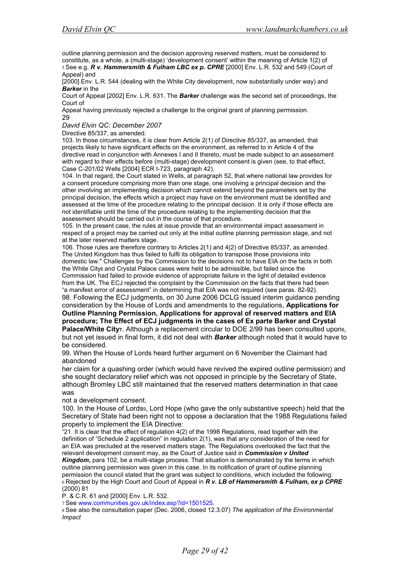outline planning permission and the decision approving reserved matters, must be considered to constitute, as a whole, a (multi-stage) 'development consent' within the meaning of Article 1(2) of 5 See e.g. R v. Hammersmith & Fulham LBC ex p. CPRE [2000] Env. L.R. 532 and 549 (Court of Appeal) and

[2000] Env. L.R. 544 (dealing with the White City development, now substantially under way) and **Barker** in the

Court of Appeal [2002] Env. L.R. 631. The Barker challenge was the second set of proceedings, the Court of

Appeal having previously rejected a challenge to the original grant of planning permission. 29

David Elvin QC: December 2007

Directive 85/337, as amended.

103. In those circumstances, it is clear from Article 2(1) of Directive 85/337, as amended, that projects likely to have significant effects on the environment, as referred to in Article 4 of the directive read in conjunction with Annexes I and II thereto, must be made subject to an assessment with regard to their effects before (multi-stage) development consent is given (see, to that effect, Case C-201/02 Wells [2004] ECR I-723, paragraph 42).

104. In that regard, the Court stated in Wells, at paragraph 52, that where national law provides for a consent procedure comprising more than one stage, one involving a principal decision and the other involving an implementing decision which cannot extend beyond the parameters set by the principal decision, the effects which a project may have on the environment must be identified and assessed at the time of the procedure relating to the principal decision. It is only if those effects are not identifiable until the time of the procedure relating to the implementing decision that the assessment should be carried out in the course of that procedure.

105. In the present case, the rules at issue provide that an environmental impact assessment in respect of a project may be carried out only at the initial outline planning permission stage, and not at the later reserved matters stage.

106. Those rules are therefore contrary to Articles 2(1) and 4(2) of Directive 85/337, as amended. The United Kingdom has thus failed to fulfil its obligation to transpose those provisions into domestic law." Challenges by the Commission to the decisions not to have EIA on the facts in both the White City6 and Crystal Palace cases were held to be admissible, but failed since the Commission had failed to provide evidence of appropriate failure in the light of detailed evidence

from the UK. The ECJ rejected the complaint by the Commission on the facts that there had been "a manifest error of assessment" in determining that EIA was not required (see paras. 82-92).

98. Following the ECJ judgments, on 30 June 2006 DCLG issued interim guidance pending consideration by the House of Lords and amendments to the regulations, Applications for Outline Planning Permission, Applications for approval of reserved matters and EIA procedure; The Effect of ECJ judgments in the cases of Ex parte Barker and Crystal Palace/White City7. Although a replacement circular to DOE 2/99 has been consulted upons, but not vet issued in final form, it did not deal with **Barker** although noted that it would have to be considered.

99. When the House of Lords heard further argument on 6 November the Claimant had abandoned

her claim for a quashing order (which would have revived the expired outline permission) and she sought declaratory relief which was not opposed in principle by the Secretary of State, although Bromley LBC still maintained that the reserved matters determination in that case was

not a development consent.

100. In the House of Lords9, Lord Hope (who gave the only substantive speech) held that the Secretary of State had been right not to oppose a declaration that the 1988 Regulations failed properly to implement the EIA Directive:

"21. It is clear that the effect of regulation 4(2) of the 1998 Regulations, read together with the definition of "Schedule 2 application" in regulation 2(1), was that any consideration of the need for an EIA was precluded at the reserved matters stage. The Regulations overlooked the fact that the relevant development consent may, as the Court of Justice said in Commission v United **Kingdom, para 102, be a multi-stage process. That situation is demonstrated by the terms in which** outline planning permission was given in this case. In its notification of grant of outline planning permission the council stated that the grant was subject to conditions, which included the following: 6 Rejected by the High Court and Court of Appeal in  $\overline{R}$  v. LB of Hammersmith & Fulham, ex p CPRE (2000) 81

P. & C.R. 61 and [2000] Env. L.R. 532.

7 See www.communities.gov.uk/index.asp?id=1501525.

8 See also the consultation paper (Dec. 2006, closed 12.3.07) The application of the Environmental Impact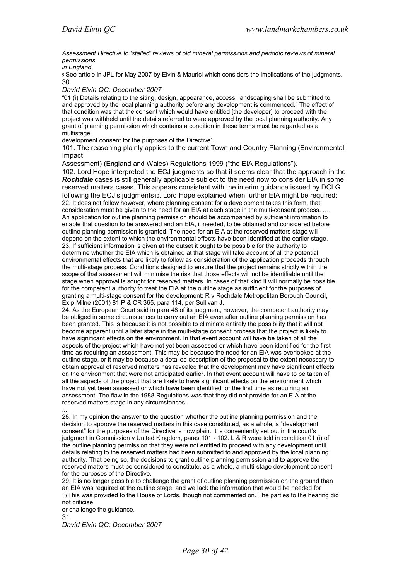Assessment Directive to 'stalled' reviews of old mineral permissions and periodic reviews of mineral permissions

in England.

9 See article in JPL for May 2007 by Elvin & Maurici which considers the implications of the judgments. 30

David Elvin QC: December 2007

"01 (i) Details relating to the siting, design, appearance, access, landscaping shall be submitted to and approved by the local planning authority before any development is commenced." The effect of that condition was that the consent which would have entitled [the developer] to proceed with the project was withheld until the details referred to were approved by the local planning authority. Any grant of planning permission which contains a condition in these terms must be regarded as a multistage

development consent for the purposes of the Directive".

101. The reasoning plainly applies to the current Town and Country Planning (Environmental Impact

Assessment) (England and Wales) Regulations 1999 ("the EIA Regulations").

102. Lord Hope interpreted the ECJ judgments so that it seems clear that the approach in the **Rochdale** cases is still generally applicable subject to the need now to consider EIA in some reserved matters cases. This appears consistent with the interim guidance issued by DCLG following the ECJ's judgments10. Lord Hope explained when further EIA might be required: 22. It does not follow however, where planning consent for a development takes this form, that consideration must be given to the need for an EIA at each stage in the multi-consent process. …. An application for outline planning permission should be accompanied by sufficient information to enable that question to be answered and an EIA, if needed, to be obtained and considered before outline planning permission is granted. The need for an EIA at the reserved matters stage will depend on the extent to which the environmental effects have been identified at the earlier stage. 23. If sufficient information is given at the outset it ought to be possible for the authority to determine whether the EIA which is obtained at that stage will take account of all the potential environmental effects that are likely to follow as consideration of the application proceeds through the multi-stage process. Conditions designed to ensure that the project remains strictly within the scope of that assessment will minimise the risk that those effects will not be identifiable until the stage when approval is sought for reserved matters. In cases of that kind it will normally be possible for the competent authority to treat the EIA at the outline stage as sufficient for the purposes of granting a multi-stage consent for the development: R v Rochdale Metropolitan Borough Council, Ex p Milne (2001) 81 P & CR 365, para 114, per Sullivan J.

24. As the European Court said in para 48 of its judgment, however, the competent authority may be obliged in some circumstances to carry out an EIA even after outline planning permission has been granted. This is because it is not possible to eliminate entirely the possibility that it will not become apparent until a later stage in the multi-stage consent process that the project is likely to have significant effects on the environment. In that event account will have be taken of all the aspects of the project which have not yet been assessed or which have been identified for the first time as requiring an assessment. This may be because the need for an EIA was overlooked at the outline stage, or it may be because a detailed description of the proposal to the extent necessary to obtain approval of reserved matters has revealed that the development may have significant effects on the environment that were not anticipated earlier. In that event account will have to be taken of all the aspects of the project that are likely to have significant effects on the environment which have not yet been assessed or which have been identified for the first time as requiring an assessment. The flaw in the 1988 Regulations was that they did not provide for an EIA at the reserved matters stage in any circumstances.

... 28. In my opinion the answer to the question whether the outline planning permission and the decision to approve the reserved matters in this case constituted, as a whole, a "development consent" for the purposes of the Directive is now plain. It is conveniently set out in the court's judgment in Commission v United Kingdom, paras 101 - 102. L & R were told in condition 01 (i) of the outline planning permission that they were not entitled to proceed with any development until details relating to the reserved matters had been submitted to and approved by the local planning authority. That being so, the decisions to grant outline planning permission and to approve the reserved matters must be considered to constitute, as a whole, a multi-stage development consent for the purposes of the Directive.

29. It is no longer possible to challenge the grant of outline planning permission on the ground than an EIA was required at the outline stage, and we lack the information that would be needed for 10 This was provided to the House of Lords, though not commented on. The parties to the hearing did not criticise

or challenge the guidance.

31

David Elvin QC: December 2007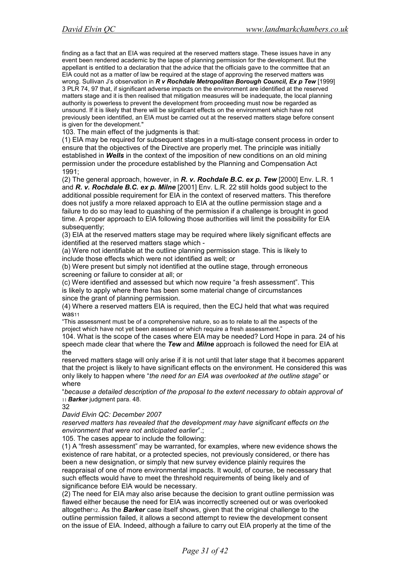finding as a fact that an EIA was required at the reserved matters stage. These issues have in any event been rendered academic by the lapse of planning permission for the development. But the appellant is entitled to a declaration that the advice that the officials gave to the committee that an EIA could not as a matter of law be required at the stage of approving the reserved matters was wrong. Sullivan J's observation in R v Rochdale Metropolitan Borough Council, Ex p Tew [1999] 3 PLR 74, 97 that, if significant adverse impacts on the environment are identified at the reserved matters stage and it is then realised that mitigation measures will be inadequate, the local planning authority is powerless to prevent the development from proceeding must now be regarded as unsound. If it is likely that there will be significant effects on the environment which have not previously been identified, an EIA must be carried out at the reserved matters stage before consent is given for the development."

103. The main effect of the judgments is that:

(1) EIA may be required for subsequent stages in a multi-stage consent process in order to ensure that the objectives of the Directive are properly met. The principle was initially established in Wells in the context of the imposition of new conditions on an old mining permission under the procedure established by the Planning and Compensation Act 1991;

(2) The general approach, however, in  $R$ ,  $v$ , Rochdale B.C. ex p. Tew [2000] Env. L.R. 1 and R. v. Rochdale B.C. ex p. Milne  $[2001]$  Env. L.R. 22 still holds good subject to the additional possible requirement for EIA in the context of reserved matters. This therefore does not justify a more relaxed approach to EIA at the outline permission stage and a failure to do so may lead to quashing of the permission if a challenge is brought in good time. A proper approach to EIA following those authorities will limit the possibility for EIA subsequently;

(3) EIA at the reserved matters stage may be required where likely significant effects are identified at the reserved matters stage which -

(a) Were not identifiable at the outline planning permission stage. This is likely to include those effects which were not identified as well; or

(b) Were present but simply not identified at the outline stage, through erroneous screening or failure to consider at all; or

(c) Were identified and assessed but which now require "a fresh assessment". This is likely to apply where there has been some material change of circumstances since the grant of planning permission.

(4) Where a reserved matters EIA is required, then the ECJ held that what was required was<sup>11</sup>

"This assessment must be of a comprehensive nature, so as to relate to all the aspects of the project which have not yet been assessed or which require a fresh assessment."

104. What is the scope of the cases where EIA may be needed? Lord Hope in para. 24 of his speech made clear that where the Tew and Milne approach is followed the need for EIA at the

reserved matters stage will only arise if it is not until that later stage that it becomes apparent that the project is likely to have significant effects on the environment. He considered this was only likely to happen where "the need for an EIA was overlooked at the outline stage" or where

"because a detailed description of the proposal to the extent necessary to obtain approval of 11 **Barker** judgment para. 48.

32

David Elvin QC: December 2007

reserved matters has revealed that the development may have significant effects on the environment that were not anticipated earlier".;

105. The cases appear to include the following:

(1) A "fresh assessment" may be warranted, for examples, where new evidence shows the existence of rare habitat, or a protected species, not previously considered, or there has been a new designation, or simply that new survey evidence plainly requires the reappraisal of one of more environmental impacts. It would, of course, be necessary that such effects would have to meet the threshold requirements of being likely and of significance before EIA would be necessary.

(2) The need for EIA may also arise because the decision to grant outline permission was flawed either because the need for EIA was incorrectly screened out or was overlooked altogether<sub>12</sub>. As the **Barker** case itself shows, given that the original challenge to the outline permission failed, it allows a second attempt to review the development consent on the issue of EIA. Indeed, although a failure to carry out EIA properly at the time of the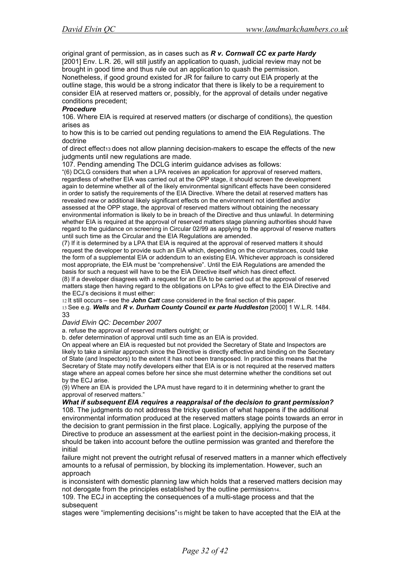original grant of permission, as in cases such as  $R$  v. Cornwall CC ex parte Hardy [2001] Env. L.R. 26, will still justify an application to quash, judicial review may not be brought in good time and thus rule out an application to quash the permission. Nonetheless, if good ground existed for JR for failure to carry out EIA properly at the outline stage, this would be a strong indicator that there is likely to be a requirement to consider EIA at reserved matters or, possibly, for the approval of details under negative conditions precedent;

## **Procedure**

106. Where EIA is required at reserved matters (or discharge of conditions), the question arises as

to how this is to be carried out pending regulations to amend the EIA Regulations. The doctrine

of direct effect13 does not allow planning decision-makers to escape the effects of the new judgments until new regulations are made.

107. Pending amending The DCLG interim guidance advises as follows:

"(6) DCLG considers that when a LPA receives an application for approval of reserved matters, regardless of whether EIA was carried out at the OPP stage, it should screen the development again to determine whether all of the likely environmental significant effects have been considered in order to satisfy the requirements of the EIA Directive. Where the detail at reserved matters has revealed new or additional likely significant effects on the environment not identified and/or assessed at the OPP stage, the approval of reserved matters without obtaining the necessary environmental information is likely to be in breach of the Directive and thus unlawful. In determining whether EIA is required at the approval of reserved matters stage planning authorities should have regard to the guidance on screening in Circular 02/99 as applying to the approval of reserve matters until such time as the Circular and the EIA Regulations are amended.

(7) If it is determined by a LPA that EIA is required at the approval of reserved matters it should request the developer to provide such an EIA which, depending on the circumstances, could take the form of a supplemental EIA or addendum to an existing EIA. Whichever approach is considered most appropriate, the EIA must be "comprehensive". Until the EIA Regulations are amended the basis for such a request will have to be the EIA Directive itself which has direct effect.

(8) If a developer disagrees with a request for an EIA to be carried out at the approval of reserved matters stage then having regard to the obligations on LPAs to give effect to the EIA Directive and the ECJ's decisions it must either:

12 It still occurs – see the **John Catt** case considered in the final section of this paper. 13 See e.g. Wells and R v. Durham County Council ex parte Huddleston [2000] 1 W.L.R. 1484. 33

#### David Elvin QC: December 2007

a. refuse the approval of reserved matters outright; or

b. defer determination of approval until such time as an EIA is provided.

On appeal where an EIA is requested but not provided the Secretary of State and Inspectors are likely to take a similar approach since the Directive is directly effective and binding on the Secretary of State (and Inspectors) to the extent it has not been transposed. In practice this means that the Secretary of State may notify developers either that EIA is or is not required at the reserved matters stage where an appeal comes before her since she must determine whether the conditions set out by the ECJ arise.

(9) Where an EIA is provided the LPA must have regard to it in determining whether to grant the approval of reserved matters."

What if subsequent EIA requires a reappraisal of the decision to grant permission? 108. The judgments do not address the tricky question of what happens if the additional environmental information produced at the reserved matters stage points towards an error in the decision to grant permission in the first place. Logically, applying the purpose of the Directive to produce an assessment at the earliest point in the decision-making process, it should be taken into account before the outline permission was granted and therefore the initial

failure might not prevent the outright refusal of reserved matters in a manner which effectively amounts to a refusal of permission, by blocking its implementation. However, such an approach

is inconsistent with domestic planning law which holds that a reserved matters decision may not derogate from the principles established by the outline permission 14.

109. The ECJ in accepting the consequences of a multi-stage process and that the subsequent

stages were "implementing decisions"15 might be taken to have accepted that the EIA at the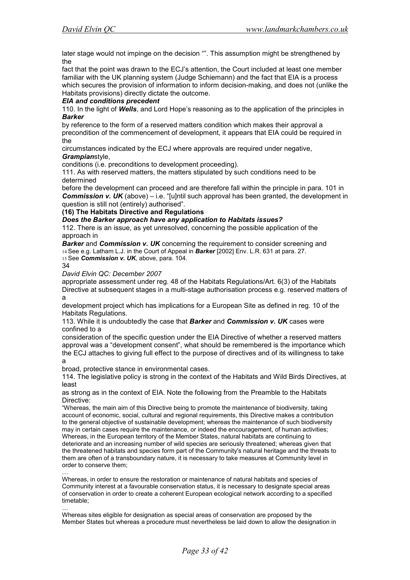later stage would not impinge on the decision "". This assumption might be strengthened by the

fact that the point was drawn to the ECJ's attention, the Court included at least one member familiar with the UK planning system (Judge Schiemann) and the fact that EIA is a process which secures the provision of information to inform decision-making, and does not (unlike the Habitats provisions) directly dictate the outcome.

## EIA and conditions precedent

110. In the light of Wells, and Lord Hope's reasoning as to the application of the principles in Barker

by reference to the form of a reserved matters condition which makes their approval a precondition of the commencement of development, it appears that EIA could be required in the

circumstances indicated by the ECJ where approvals are required under negative, Grampianstyle.

conditions (i.e. preconditions to development proceeding).

111. As with reserved matters, the matters stipulated by such conditions need to be determined

before the development can proceed and are therefore fall within the principle in para. 101 in **Commission v. UK** (above) – i.e. "[u]ntil such approval has been granted, the development in question is still not (entirely) authorised".

(16) The Habitats Directive and Regulations

Does the Barker approach have any application to Habitats issues?

112. There is an issue, as yet unresolved, concerning the possible application of the approach in

**Barker** and **Commission v. UK** concerning the requirement to consider screening and 14 See e.g. Latham L.J. in the Court of Appeal in **Barker** [2002] Env. L.R. 631 at para. 27.

15 See Commission v. UK, above, para. 104.

34

David Elvin QC: December 2007

appropriate assessment under reg. 48 of the Habitats Regulations/Art. 6(3) of the Habitats Directive at subsequent stages in a multi-stage authorisation process e.g. reserved matters of a

development project which has implications for a European Site as defined in reg. 10 of the Habitats Regulations.

113. While it is undoubtedly the case that Barker and Commission v. UK cases were confined to a

consideration of the specific question under the EIA Directive of whether a reserved matters approval was a "development consent", what should be remembered is the importance which the ECJ attaches to giving full effect to the purpose of directives and of its willingness to take a

broad, protective stance in environmental cases.

114. The legislative policy is strong in the context of the Habitats and Wild Birds Directives, at least

as strong as in the context of EIA. Note the following from the Preamble to the Habitats Directive:

"Whereas, the main aim of this Directive being to promote the maintenance of biodiversity, taking account of economic, social, cultural and regional requirements, this Directive makes a contribution to the general objective of sustainable development; whereas the maintenance of such biodiversity may in certain cases require the maintenance, or indeed the encouragement, of human activities; Whereas, in the European territory of the Member States, natural habitats are continuing to deteriorate and an increasing number of wild species are seriously threatened; whereas given that the threatened habitats and species form part of the Community's natural heritage and the threats to them are often of a transboundary nature, it is necessary to take measures at Community level in order to conserve them;

… Whereas, in order to ensure the restoration or maintenance of natural habitats and species of Community interest at a favourable conservation status, it is necessary to designate special areas of conservation in order to create a coherent European ecological network according to a specified timetable;

… Whereas sites eligible for designation as special areas of conservation are proposed by the Member States but whereas a procedure must nevertheless be laid down to allow the designation in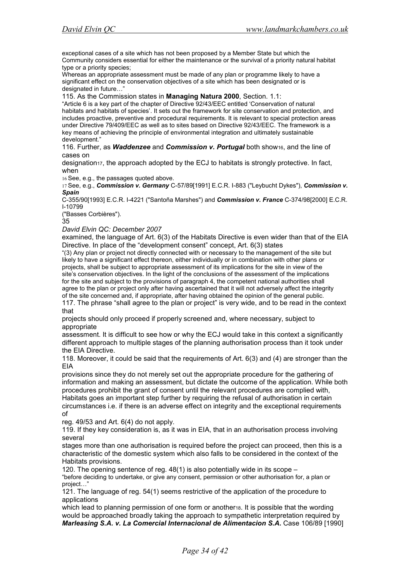exceptional cases of a site which has not been proposed by a Member State but which the Community considers essential for either the maintenance or the survival of a priority natural habitat type or a priority species;

Whereas an appropriate assessment must be made of any plan or programme likely to have a significant effect on the conservation objectives of a site which has been designated or is designated in future…"

115. As the Commission states in Managing Natura 2000, Section. 1.1:

"Article 6 is a key part of the chapter of Directive 92/43/EEC entitled 'Conservation of natural habitats and habitats of species'. It sets out the framework for site conservation and protection, and includes proactive, preventive and procedural requirements. It is relevant to special protection areas under Directive 79/409/EEC as well as to sites based on Directive 92/43/EEC. The framework is a key means of achieving the principle of environmental integration and ultimately sustainable development."

116. Further, as *Waddenzee* and *Commission v. Portugal* both show<sub>16</sub>, and the line of cases on

designation17, the approach adopted by the ECJ to habitats is strongly protective. In fact, when

16 See, e.g., the passages quoted above.

17 See, e.g., Commission v. Germany C-57/89[1991] E.C.R. I-883 ("Leybucht Dykes"), Commission v. Spain

C-355/90[1993] E.C.R. I-4221 ("Santoña Marshes") and Commission v. France C-374/98[2000] E.C.R. I-10799

("Basses Corbières").

35

David Elvin QC: December 2007

examined, the language of Art. 6(3) of the Habitats Directive is even wider than that of the EIA Directive. In place of the "development consent" concept, Art. 6(3) states

"(3) Any plan or project not directly connected with or necessary to the management of the site but likely to have a significant effect thereon, either individually or in combination with other plans or projects, shall be subject to appropriate assessment of its implications for the site in view of the site's conservation objectives. In the light of the conclusions of the assessment of the implications for the site and subject to the provisions of paragraph 4, the competent national authorities shall agree to the plan or project only after having ascertained that it will not adversely affect the integrity of the site concerned and, if appropriate, after having obtained the opinion of the general public.

117. The phrase "shall agree to the plan or project" is very wide, and to be read in the context that

projects should only proceed if properly screened and, where necessary, subject to appropriate

assessment. It is difficult to see how or why the ECJ would take in this context a significantly different approach to multiple stages of the planning authorisation process than it took under the EIA Directive.

118. Moreover, it could be said that the requirements of Art. 6(3) and (4) are stronger than the EIA

provisions since they do not merely set out the appropriate procedure for the gathering of information and making an assessment, but dictate the outcome of the application. While both procedures prohibit the grant of consent until the relevant procedures are complied with, Habitats goes an important step further by requiring the refusal of authorisation in certain circumstances i.e. if there is an adverse effect on integrity and the exceptional requirements of

reg. 49/53 and Art. 6(4) do not apply.

119. If they key consideration is, as it was in EIA, that in an authorisation process involving several

stages more than one authorisation is required before the project can proceed, then this is a characteristic of the domestic system which also falls to be considered in the context of the Habitats provisions.

120. The opening sentence of reg. 48(1) is also potentially wide in its scope –

"before deciding to undertake, or give any consent, permission or other authorisation for, a plan or project…"

121. The language of reg. 54(1) seems restrictive of the application of the procedure to applications

which lead to planning permission of one form or another 18. It is possible that the wording would be approached broadly taking the approach to sympathetic interpretation required by Marleasing S.A. v. La Comercial Internacional de Alimentacion S.A. Case 106/89 [1990]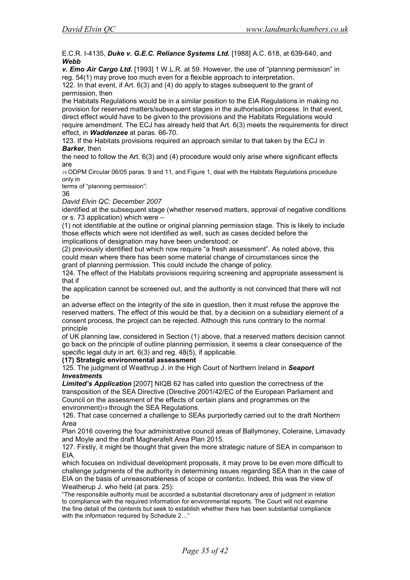E.C.R. I-4135, Duke v. G.E.C. Reliance Systems Ltd. [1988] A.C. 618, at 639-640, and Webb

v. Emo Air Cargo Ltd. [1993] 1 W.L.R. at 59. However, the use of "planning permission" in reg. 54(1) may prove too much even for a flexible approach to interpretation.

122. In that event, if Art. 6(3) and (4) do apply to stages subsequent to the grant of permission, then

the Habitats Regulations would be in a similar position to the EIA Regulations in making no provision for reserved matters/subsequent stages in the authorisation process. In that event, direct effect would have to be given to the provisions and the Habitats Regulations would require amendment. The ECJ has already held that Art. 6(3) meets the requirements for direct effect, in Waddenzee at paras. 66-70.

123. If the Habitats provisions required an approach similar to that taken by the ECJ in Barker, then

the need to follow the Art. 6(3) and (4) procedure would only arise where significant effects are

18 ODPM Circular 06/05 paras. 9 and 11, and Figure 1, deal with the Habitats Regulations procedure only in

terms of "planning permission":

36

David Elvin QC: December 2007

identified at the subsequent stage (whether reserved matters, approval of negative conditions or s. 73 application) which were –

(1) not identifiable at the outline or original planning permission stage. This is likely to include those effects which were not identified as well, such as cases decided before the implications of designation may have been understood; or

(2) previously identified but which now require "a fresh assessment". As noted above, this could mean where there has been some material change of circumstances since the grant of planning permission. This could include the change of policy.

124. The effect of the Habitats provisions requiring screening and appropriate assessment is that if

the application cannot be screened out, and the authority is not convinced that there will not be

an adverse effect on the integrity of the site in question, then it must refuse the approve the reserved matters. The effect of this would be that, by a decision on a subsidiary element of a consent process, the project can be rejected. Although this runs contrary to the normal principle

of UK planning law, considered in Section (1) above, that a reserved matters decision cannot go back on the principle of outline planning permission, it seems a clear consequence of the specific legal duty in art. 6(3) and reg. 48(5), if applicable.

## (17) Strategic environmental assessment

125. The judgment of Weathrup J. in the High Court of Northern Ireland in Seaport **Investments** 

Limited's Application [2007] NIQB 62 has called into question the correctness of the transposition of the SEA Directive (Directive 2001/42/EC of the European Parliament and Council on the assessment of the effects of certain plans and programmes on the environment)19 through the SEA Regulations.

126. That case concerned a challenge to SEAs purportedly carried out to the draft Northern Area

Plan 2016 covering the four administrative council areas of Ballymoney, Coleraine, Limavady and Moyle and the draft Magherafelt Area Plan 2015.

127. Firstly, it might be thought that given the more strategic nature of SEA in comparison to EIA,

which focuses on individual development proposals, it may prove to be even more difficult to challenge judgments of the authority in determining issues regarding SEA than in the case of EIA on the basis of unreasonableness of scope or contentzo. Indeed, this was the view of Weatherup J. who held (at para. 25):

"The responsible authority must be accorded a substantial discretionary area of judgment in relation to compliance with the required information for environmental reports. The Court will not examine the fine detail of the contents but seek to establish whether there has been substantial compliance with the information required by Schedule 2..."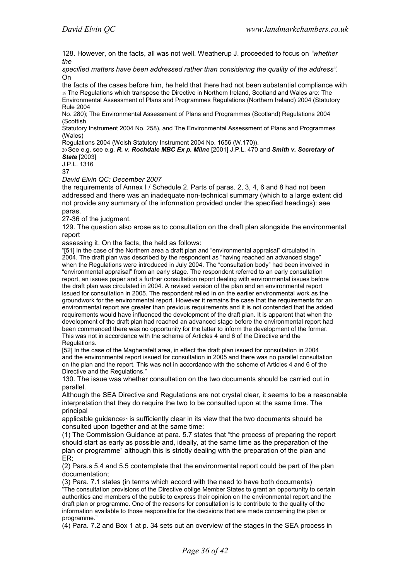128. However, on the facts, all was not well. Weatherup J. proceeded to focus on "whether the

specified matters have been addressed rather than considering the quality of the address". On

the facts of the cases before him, he held that there had not been substantial compliance with 19 The Regulations which transpose the Directive in Northern Ireland, Scotland and Wales are: The Environmental Assessment of Plans and Programmes Regulations (Northern Ireland) 2004 (Statutory Rule 2004

No. 280); The Environmental Assessment of Plans and Programmes (Scotland) Regulations 2004 (Scottish

Statutory Instrument 2004 No. 258), and The Environmental Assessment of Plans and Programmes (Wales)

Regulations 2004 (Welsh Statutory Instrument 2004 No. 1656 (W.170)).

20 See e.g. see e.g. R. v. Rochdale MBC Ex p. Milne  $[2001]$  J.P.L. 470 and Smith v. Secretary of **State [2003]** 

J.P.L. 1316 37

David Elvin QC: December 2007

the requirements of Annex I / Schedule 2. Parts of paras. 2, 3, 4, 6 and 8 had not been addressed and there was an inadequate non-technical summary (which to a large extent did not provide any summary of the information provided under the specified headings): see paras.

27-36 of the judgment.

129. The question also arose as to consultation on the draft plan alongside the environmental report

assessing it. On the facts, the held as follows:

"[51] In the case of the Northern area a draft plan and "environmental appraisal" circulated in 2004. The draft plan was described by the respondent as "having reached an advanced stage" when the Regulations were introduced in July 2004. The "consultation body" had been involved in "environmental appraisal" from an early stage. The respondent referred to an early consultation report, an issues paper and a further consultation report dealing with environmental issues before the draft plan was circulated in 2004. A revised version of the plan and an environmental report issued for consultation in 2005. The respondent relied in on the earlier environmental work as the groundwork for the environmental report. However it remains the case that the requirements for an environmental report are greater than previous requirements and it is not contended that the added requirements would have influenced the development of the draft plan. It is apparent that when the development of the draft plan had reached an advanced stage before the environmental report had been commenced there was no opportunity for the latter to inform the development of the former. This was not in accordance with the scheme of Articles 4 and 6 of the Directive and the Regulations.

[52] In the case of the Magherafelt area, in effect the draft plan issued for consultation in 2004 and the environmental report issued for consultation in 2005 and there was no parallel consultation on the plan and the report. This was not in accordance with the scheme of Articles 4 and 6 of the Directive and the Regulations."

130. The issue was whether consultation on the two documents should be carried out in parallel.

Although the SEA Directive and Regulations are not crystal clear, it seems to be a reasonable interpretation that they do require the two to be consulted upon at the same time. The principal

applicable guidance21 is sufficiently clear in its view that the two documents should be consulted upon together and at the same time:

(1) The Commission Guidance at para. 5.7 states that "the process of preparing the report should start as early as possible and, ideally, at the same time as the preparation of the plan or programme" although this is strictly dealing with the preparation of the plan and ER;

(2) Para.s 5.4 and 5.5 contemplate that the environmental report could be part of the plan documentation;

(3) Para. 7.1 states (in terms which accord with the need to have both documents) "The consultation provisions of the Directive oblige Member States to grant an opportunity to certain authorities and members of the public to express their opinion on the environmental report and the draft plan or programme. One of the reasons for consultation is to contribute to the quality of the information available to those responsible for the decisions that are made concerning the plan or programme."

(4) Para. 7.2 and Box 1 at p. 34 sets out an overview of the stages in the SEA process in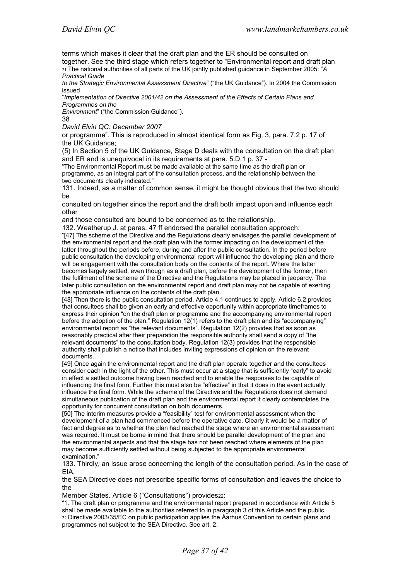terms which makes it clear that the draft plan and the ER should be consulted on together. See the third stage which refers together to "Environmental report and draft plan

21 The national authorities of all parts of the UK jointly published guidance in September 2005: "A Practical Guide

to the Strategic Environmental Assessment Directive" ("the UK Guidance"). In 2004 the Commission issued

"Implementation of Directive 2001/42 on the Assessment of the Effects of Certain Plans and Programmes on the

Environment" ("the Commission Guidance").

38

David Elvin QC: December 2007

or programme". This is reproduced in almost identical form as Fig. 3, para. 7.2 p. 17 of the UK Guidance;

(5) In Section 5 of the UK Guidance, Stage D deals with the consultation on the draft plan and ER and is unequivocal in its requirements at para. 5.D.1 p. 37 -

"The Environmental Report must be made available at the same time as the draft plan or programme, as an integral part of the consultation process, and the relationship between the two documents clearly indicated."

131. Indeed, as a matter of common sense, it might be thought obvious that the two should be

consulted on together since the report and the draft both impact upon and influence each other

and those consulted are bound to be concerned as to the relationship.

132. Weatherup J. at paras. 47 ff endorsed the parallel consultation approach:

"[47] The scheme of the Directive and the Regulations clearly envisages the parallel development of the environmental report and the draft plan with the former impacting on the development of the latter throughout the periods before, during and after the public consultation. In the period before public consultation the developing environmental report will influence the developing plan and there will be engagement with the consultation body on the contents of the report. Where the latter becomes largely settled, even though as a draft plan, before the development of the former, then the fulfilment of the scheme of the Directive and the Regulations may be placed in jeopardy. The later public consultation on the environmental report and draft plan may not be capable of exerting the appropriate influence on the contents of the draft plan.

[48] Then there is the public consultation period. Article 4.1 continues to apply. Article 6.2 provides that consultees shall be given an early and effective opportunity within appropriate timeframes to express their opinion "on the draft plan or programme and the accompanying environmental report before the adoption of the plan." Regulation 12(1) refers to the draft plan and its "accompanying" environmental report as "the relevant documents". Regulation 12(2) provides that as soon as reasonably practical after their preparation the responsible authority shall send a copy of "the relevant documents" to the consultation body. Regulation 12(3) provides that the responsible authority shall publish a notice that includes inviting expressions of opinion on the relevant documents.

[49] Once again the environmental report and the draft plan operate together and the consultees consider each in the light of the other. This must occur at a stage that is sufficiently "early" to avoid in effect a settled outcome having been reached and to enable the responses to be capable of influencing the final form. Further this must also be "effective" in that it does in the event actually influence the final form. While the scheme of the Directive and the Regulations does not demand simultaneous publication of the draft plan and the environmental report it clearly contemplates the opportunity for concurrent consultation on both documents.

[50] The interim measures provide a "feasibility" test for environmental assessment when the development of a plan had commenced before the operative date. Clearly it would be a matter of fact and degree as to whether the plan had reached the stage where an environmental assessment was required. It must be borne in mind that there should be parallel development of the plan and the environmental aspects and that the stage has not been reached where elements of the plan may become sufficiently settled without being subjected to the appropriate environmental examination."

133. Thirdly, an issue arose concerning the length of the consultation period. As in the case of **FIA** 

the SEA Directive does not prescribe specific forms of consultation and leaves the choice to the

Member States. Article 6 ("Consultations") provides22:

"1. The draft plan or programme and the environmental report prepared in accordance with Article 5 shall be made available to the authorities referred to in paragraph 3 of this Article and the public. 22 Directive 2003/35/EC on public participation applies the Åarhus Convention to certain plans and programmes not subject to the SEA Directive. See art. 2.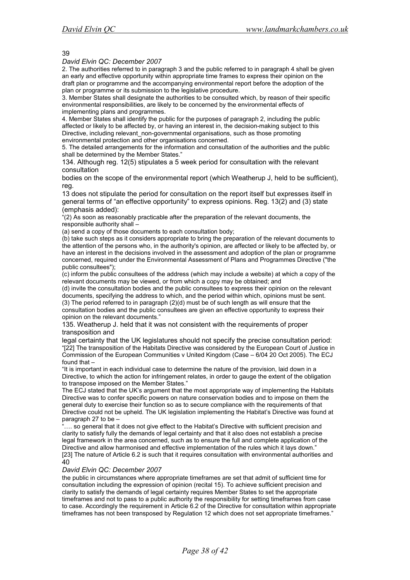39

David Elvin QC: December 2007

2. The authorities referred to in paragraph 3 and the public referred to in paragraph 4 shall be given an early and effective opportunity within appropriate time frames to express their opinion on the draft plan or programme and the accompanying environmental report before the adoption of the plan or programme or its submission to the legislative procedure.

3. Member States shall designate the authorities to be consulted which, by reason of their specific environmental responsibilities, are likely to be concerned by the environmental effects of implementing plans and programmes.

4. Member States shall identify the public for the purposes of paragraph 2, including the public affected or likely to be affected by, or having an interest in, the decision-making subject to this Directive, including relevant\_non-governmental organisations, such as those promoting environmental protection and other organisations concerned.

5. The detailed arrangements for the information and consultation of the authorities and the public shall be determined by the Member States."

134. Although reg. 12(5) stipulates a 5 week period for consultation with the relevant consultation

bodies on the scope of the environmental report (which Weatherup J, held to be sufficient), reg.

13 does not stipulate the period for consultation on the report itself but expresses itself in general terms of "an effective opportunity" to express opinions. Reg. 13(2) and (3) state (emphasis added):

"(2) As soon as reasonably practicable after the preparation of the relevant documents, the responsible authority shall –

(a) send a copy of those documents to each consultation body;

(b) take such steps as it considers appropriate to bring the preparation of the relevant documents to the attention of the persons who, in the authority's opinion, are affected or likely to be affected by, or have an interest in the decisions involved in the assessment and adoption of the plan or programme concerned, required under the Environmental Assessment of Plans and Programmes Directive ("the public consultees");

(c) inform the public consultees of the address (which may include a website) at which a copy of the relevant documents may be viewed, or from which a copy may be obtained; and

(d) invite the consultation bodies and the public consultees to express their opinion on the relevant documents, specifying the address to which, and the period within which, opinions must be sent. (3) The period referred to in paragraph (2)(d) must be of such length as will ensure that the

consultation bodies and the public consultees are given an effective opportunity to express their opinion on the relevant documents."

135. Weatherup J. held that it was not consistent with the requirements of proper transposition and

legal certainty that the UK legislatures should not specify the precise consultation period: "[22] The transposition of the Habitats Directive was considered by the European Court of Justice in Commission of the European Communities v United Kingdom (Case – 6/04 20 Oct 2005). The ECJ found that –

"It is important in each individual case to determine the nature of the provision, laid down in a Directive, to which the action for infringement relates, in order to gauge the extent of the obligation to transpose imposed on the Member States."

The ECJ stated that the UK's argument that the most appropriate way of implementing the Habitats Directive was to confer specific powers on nature conservation bodies and to impose on them the general duty to exercise their function so as to secure compliance with the requirements of that Directive could not be upheld. The UK legislation implementing the Habitat's Directive was found at paragraph 27 to be –

.... so general that it does not give effect to the Habitat's Directive with sufficient precision and clarity to satisfy fully the demands of legal certainty and that it also does not establish a precise legal framework in the area concerned, such as to ensure the full and complete application of the Directive and allow harmonised and effective implementation of the rules which it lays down." [23] The nature of Article 6.2 is such that it requires consultation with environmental authorities and 40

#### David Elvin QC: December 2007

the public in circumstances where appropriate timeframes are set that admit of sufficient time for consultation including the expression of opinion (recital 15). To achieve sufficient precision and clarity to satisfy the demands of legal certainty requires Member States to set the appropriate timeframes and not to pass to a public authority the responsibility for setting timeframes from case to case. Accordingly the requirement in Article 6.2 of the Directive for consultation within appropriate timeframes has not been transposed by Regulation 12 which does not set appropriate timeframes."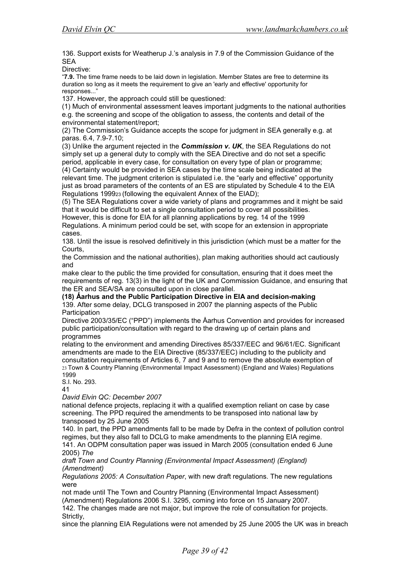136. Support exists for Weatherup J.'s analysis in 7.9 of the Commission Guidance of the SEA

Directive:

"7.9. The time frame needs to be laid down in legislation. Member States are free to determine its duration so long as it meets the requirement to give an 'early and effective' opportunity for responses..."

137. However, the approach could still be questioned:

(1) Much of environmental assessment leaves important judgments to the national authorities e.g. the screening and scope of the obligation to assess, the contents and detail of the environmental statement/report;

(2) The Commission's Guidance accepts the scope for judgment in SEA generally e.g. at paras. 6.4, 7.9-7.10;

(3) Unlike the argument rejected in the **Commission v. UK**, the SEA Regulations do not simply set up a general duty to comply with the SEA Directive and do not set a specific period, applicable in every case, for consultation on every type of plan or programme; (4) Certainty would be provided in SEA cases by the time scale being indicated at the relevant time. The judgment criterion is stipulated i.e. the "early and effective" opportunity just as broad parameters of the contents of an ES are stipulated by Schedule 4 to the EIA Regulations 199923 (following the equivalent Annex of the EIAD);

(5) The SEA Regulations cover a wide variety of plans and programmes and it might be said that it would be difficult to set a single consultation period to cover all possibilities.

However, this is done for EIA for all planning applications by reg. 14 of the 1999 Regulations. A minimum period could be set, with scope for an extension in appropriate cases.

138. Until the issue is resolved definitively in this jurisdiction (which must be a matter for the Courts,

the Commission and the national authorities), plan making authorities should act cautiously and

make clear to the public the time provided for consultation, ensuring that it does meet the requirements of reg. 13(3) in the light of the UK and Commission Guidance, and ensuring that the ER and SEA/SA are consulted upon in close parallel.

(18) Åarhus and the Public Participation Directive in EIA and decision-making 139. After some delay, DCLG transposed in 2007 the planning aspects of the Public **Participation** 

Directive 2003/35/EC ("PPD") implements the Åarhus Convention and provides for increased public participation/consultation with regard to the drawing up of certain plans and programmes

relating to the environment and amending Directives 85/337/EEC and 96/61/EC. Significant amendments are made to the EIA Directive (85/337/EEC) including to the publicity and consultation requirements of Articles 6, 7 and 9 and to remove the absolute exemption of 23 Town & Country Planning (Environmental Impact Assessment) (England and Wales) Regulations 1999

S.I. No. 293.

41

David Elvin QC: December 2007

national defence projects, replacing it with a qualified exemption reliant on case by case screening. The PPD required the amendments to be transposed into national law by transposed by 25 June 2005

140. In part, the PPD amendments fall to be made by Defra in the context of pollution control regimes, but they also fall to DCLG to make amendments to the planning EIA regime. 141. An ODPM consultation paper was issued in March 2005 (consultation ended 6 June 2005) The

draft Town and Country Planning (Environmental Impact Assessment) (England) (Amendment)

Regulations 2005: A Consultation Paper, with new draft regulations. The new regulations were

not made until The Town and Country Planning (Environmental Impact Assessment) (Amendment) Regulations 2006 S.I. 3295, coming into force on 15 January 2007.

142. The changes made are not major, but improve the role of consultation for projects. Strictly,

since the planning EIA Regulations were not amended by 25 June 2005 the UK was in breach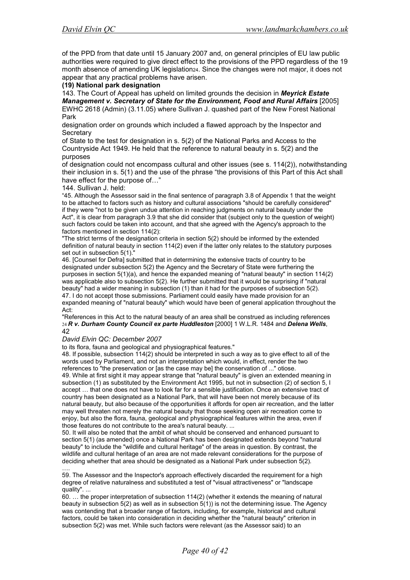of the PPD from that date until 15 January 2007 and, on general principles of EU law public authorities were required to give direct effect to the provisions of the PPD regardless of the 19 month absence of amending UK legislation<sub>24</sub>. Since the changes were not major, it does not appear that any practical problems have arisen.

## (19) National park designation

143. The Court of Appeal has upheld on limited grounds the decision in Meyrick Estate Management v. Secretary of State for the Environment, Food and Rural Affairs [2005] EWHC 2618 (Admin) (3.11.05) where Sullivan J. quashed part of the New Forest National Park

designation order on grounds which included a flawed approach by the Inspector and **Secretary** 

of State to the test for designation in s. 5(2) of the National Parks and Access to the Countryside Act 1949. He held that the reference to natural beauty in s. 5(2) and the purposes

of designation could not encompass cultural and other issues (see s. 114(2)), notwithstanding their inclusion in s. 5(1) and the use of the phrase "the provisions of this Part of this Act shall have effect for the purpose of…"

144. Sullivan J. held:

"45. Although the Assessor said in the final sentence of paragraph 3.8 of Appendix 1 that the weight to be attached to factors such as history and cultural associations "should be carefully considered" if they were "not to be given undue attention in reaching judgments on natural beauty under the Act", it is clear from paragraph 3.9 that she did consider that (subject only to the question of weight) such factors could be taken into account, and that she agreed with the Agency's approach to the factors mentioned in section 114(2):

"The strict terms of the designation criteria in section 5(2) should be informed by the extended definition of natural beauty in section 114(2) even if the latter only relates to the statutory purposes set out in subsection 5(1).

46. [Counsel for Defra] submitted that in determining the extensive tracts of country to be designated under subsection 5(2) the Agency and the Secretary of State were furthering the purposes in section 5(1)(a), and hence the expanded meaning of "natural beauty" in section 114(2) was applicable also to subsection 5(2). He further submitted that it would be surprising if "natural beauty" had a wider meaning in subsection (1) than it had for the purposes of subsection 5(2). 47. I do not accept those submissions. Parliament could easily have made provision for an expanded meaning of "natural beauty" which would have been of general application throughout the Act:

"References in this Act to the natural beauty of an area shall be construed as including references 24 R v. Durham County Council ex parte Huddleston [2000] 1 W.L.R. 1484 and Delena Wells, 42

## David Elvin QC: December 2007

to its flora, fauna and geological and physiographical features."

48. If possible, subsection 114(2) should be interpreted in such a way as to give effect to all of the words used by Parliament, and not an interpretation which would, in effect, render the two references to "the preservation or [as the case may be] the conservation of ..." otiose.

49. While at first sight it may appear strange that "natural beauty" is given an extended meaning in subsection (1) as substituted by the Environment Act 1995, but not in subsection (2) of section 5, I accept … that one does not have to look far for a sensible justification. Once an extensive tract of country has been designated as a National Park, that will have been not merely because of its natural beauty, but also because of the opportunities it affords for open air recreation, and the latter may well threaten not merely the natural beauty that those seeking open air recreation come to enjoy, but also the flora, fauna, geological and physiographical features within the area, even if those features do not contribute to the area's natural beauty. ...

50. It will also be noted that the ambit of what should be conserved and enhanced pursuant to section 5(1) (as amended) once a National Park has been designated extends beyond "natural beauty" to include the "wildlife and cultural heritage" of the areas in question. By contrast, the wildlife and cultural heritage of an area are not made relevant considerations for the purpose of deciding whether that area should be designated as a National Park under subsection 5(2).

…. 59. The Assessor and the Inspector's approach effectively discarded the requirement for a high degree of relative naturalness and substituted a test of "visual attractiveness" or "landscape quality". ...

60. … the proper interpretation of subsection 114(2) (whether it extends the meaning of natural beauty in subsection 5(2) as well as in subsection 5(1)) is not the determining issue. The Agency was contending that a broader range of factors, including, for example, historical and cultural factors, could be taken into consideration in deciding whether the "natural beauty" criterion in subsection 5(2) was met. While such factors were relevant (as the Assessor said) to an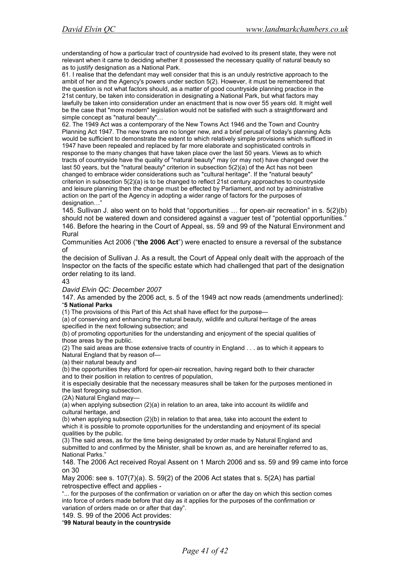understanding of how a particular tract of countryside had evolved to its present state, they were not relevant when it came to deciding whether it possessed the necessary quality of natural beauty so as to justify designation as a National Park.

61. I realise that the defendant may well consider that this is an unduly restrictive approach to the ambit of her and the Agency's powers under section 5(2). However, it must be remembered that the question is not what factors should, as a matter of good countryside planning practice in the 21st century, be taken into consideration in designating a National Park, but what factors may lawfully be taken into consideration under an enactment that is now over 55 years old. It might well be the case that "more modern" legislation would not be satisfied with such a straightforward and simple concept as "natural beauty"…

62. The 1949 Act was a contemporary of the New Towns Act 1946 and the Town and Country Planning Act 1947. The new towns are no longer new, and a brief perusal of today's planning Acts would be sufficient to demonstrate the extent to which relatively simple provisions which sufficed in 1947 have been repealed and replaced by far more elaborate and sophisticated controls in response to the many changes that have taken place over the last 50 years. Views as to which tracts of countryside have the quality of "natural beauty" may (or may not) have changed over the last 50 years, but the "natural beauty" criterion in subsection 5(2)(a) of the Act has not been changed to embrace wider considerations such as "cultural heritage". If the "natural beauty" criterion in subsection 5(2)(a) is to be changed to reflect 21st century approaches to countryside and leisure planning then the change must be effected by Parliament, and not by administrative action on the part of the Agency in adopting a wider range of factors for the purposes of designation…"

145. Sullivan J. also went on to hold that "opportunities … for open-air recreation" in s. 5(2)(b) should not be watered down and considered against a vaguer test of "potential opportunities." 146. Before the hearing in the Court of Appeal, ss. 59 and 99 of the Natural Environment and Rural

Communities Act 2006 ("the 2006 Act") were enacted to ensure a reversal of the substance of

the decision of Sullivan J. As a result, the Court of Appeal only dealt with the approach of the Inspector on the facts of the specific estate which had challenged that part of the designation order relating to its land.

43

David Elvin QC: December 2007

147. As amended by the 2006 act, s. 5 of the 1949 act now reads (amendments underlined): "5 National Parks

(1) The provisions of this Part of this Act shall have effect for the purpose—

(a) of conserving and enhancing the natural beauty, wildlife and cultural heritage of the areas specified in the next following subsection; and

(b) of promoting opportunities for the understanding and enjoyment of the special qualities of those areas by the public.

(2) The said areas are those extensive tracts of country in England . . . as to which it appears to Natural England that by reason of—

(a) their natural beauty and

(b) the opportunities they afford for open-air recreation, having regard both to their character and to their position in relation to centres of population,

it is especially desirable that the necessary measures shall be taken for the purposes mentioned in the last foregoing subsection.

(2A) Natural England may—

(a) when applying subsection (2)(a) in relation to an area, take into account its wildlife and cultural heritage, and

(b) when applying subsection (2)(b) in relation to that area, take into account the extent to which it is possible to promote opportunities for the understanding and enjoyment of its special qualities by the public.

(3) The said areas, as for the time being designated by order made by Natural England and submitted to and confirmed by the Minister, shall be known as, and are hereinafter referred to as, National Parks."

148. The 2006 Act received Royal Assent on 1 March 2006 and ss. 59 and 99 came into force on 30

May 2006: see s. 107(7)(a). S. 59(2) of the 2006 Act states that s. 5(2A) has partial retrospective effect and applies -

... for the purposes of the confirmation or variation on or after the day on which this section comes into force of orders made before that day as it applies for the purposes of the confirmation or variation of orders made on or after that day".

149. S. 99 of the 2006 Act provides:

"99 Natural beauty in the countryside